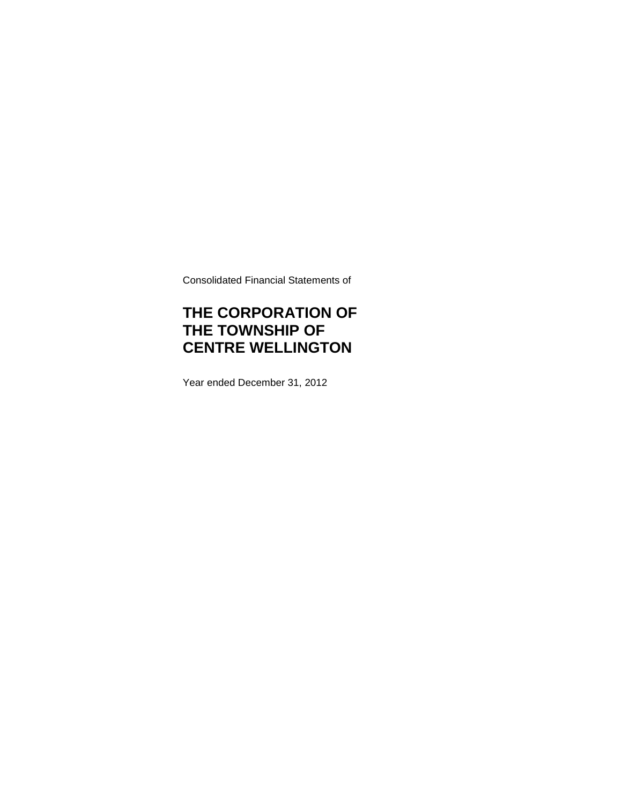Consolidated Financial Statements of

# **THE CORPORATION OF THE TOWNSHIP OF CENTRE WELLINGTON**

Year ended December 31, 2012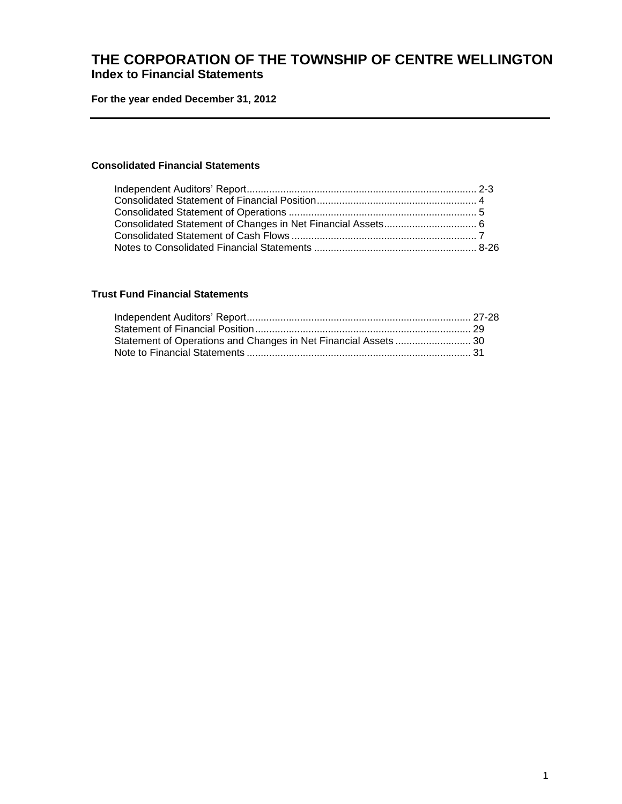## **THE CORPORATION OF THE TOWNSHIP OF CENTRE WELLINGTON Index to Financial Statements**

**For the year ended December 31, 2012**

### **Consolidated Financial Statements**

### **Trust Fund Financial Statements**

| Statement of Operations and Changes in Net Financial Assets  30 |  |
|-----------------------------------------------------------------|--|
|                                                                 |  |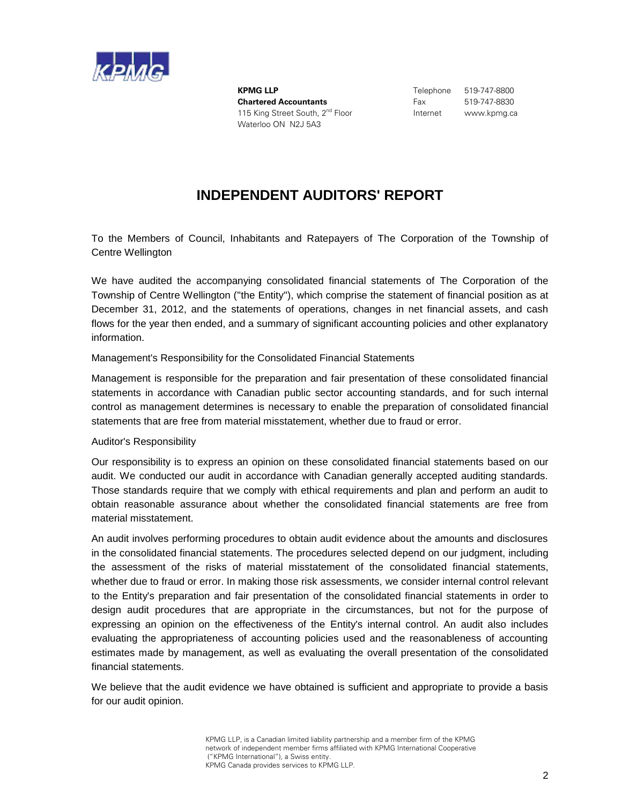

**KPMG LLP** Telephone 519-747-8800 **Chartered Accountants** Fax 519-747-8830 115 King Street South, 2<sup>nd</sup> Floor **Internet** www.kpmg.ca Waterloo ON N2J 5A3

# **INDEPENDENT AUDITORS' REPORT**

To the Members of Council, Inhabitants and Ratepayers of The Corporation of the Township of Centre Wellington

We have audited the accompanying consolidated financial statements of The Corporation of the Township of Centre Wellington (''the Entity''), which comprise the statement of financial position as at December 31, 2012, and the statements of operations, changes in net financial assets, and cash flows for the year then ended, and a summary of significant accounting policies and other explanatory information.

### Management's Responsibility for the Consolidated Financial Statements

Management is responsible for the preparation and fair presentation of these consolidated financial statements in accordance with Canadian public sector accounting standards, and for such internal control as management determines is necessary to enable the preparation of consolidated financial statements that are free from material misstatement, whether due to fraud or error.

### Auditor's Responsibility

Our responsibility is to express an opinion on these consolidated financial statements based on our audit. We conducted our audit in accordance with Canadian generally accepted auditing standards. Those standards require that we comply with ethical requirements and plan and perform an audit to obtain reasonable assurance about whether the consolidated financial statements are free from material misstatement.

An audit involves performing procedures to obtain audit evidence about the amounts and disclosures in the consolidated financial statements. The procedures selected depend on our judgment, including the assessment of the risks of material misstatement of the consolidated financial statements, whether due to fraud or error. In making those risk assessments, we consider internal control relevant to the Entity's preparation and fair presentation of the consolidated financial statements in order to design audit procedures that are appropriate in the circumstances, but not for the purpose of expressing an opinion on the effectiveness of the Entity's internal control. An audit also includes evaluating the appropriateness of accounting policies used and the reasonableness of accounting estimates made by management, as well as evaluating the overall presentation of the consolidated financial statements.

We believe that the audit evidence we have obtained is sufficient and appropriate to provide a basis for our audit opinion.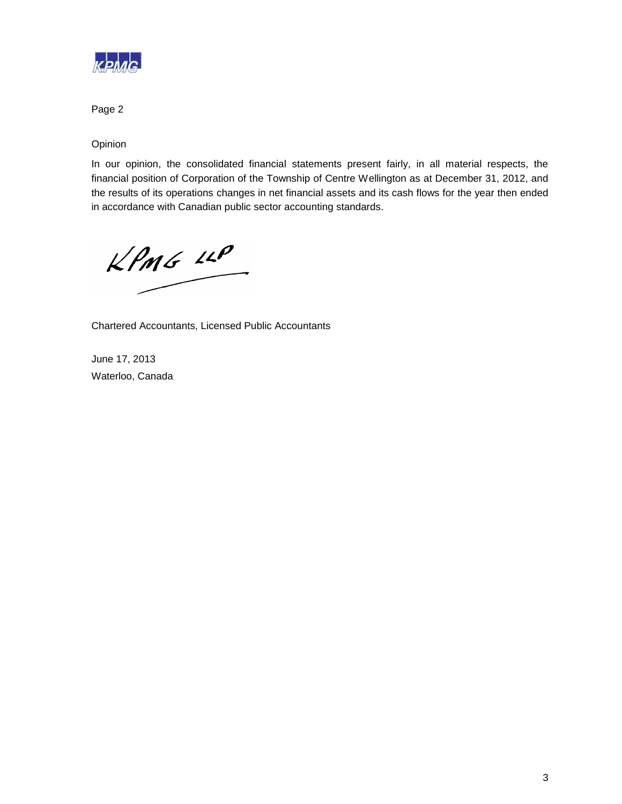

Page 2

Opinion

In our opinion, the consolidated financial statements present fairly, in all material respects, the financial position of Corporation of the Township of Centre Wellington as at December 31, 2012, and the results of its operations changes in net financial assets and its cash flows for the year then ended in accordance with Canadian public sector accounting standards.

 $KPMG$  12P

Chartered Accountants, Licensed Public Accountants

June 17, 2013 Waterloo, Canada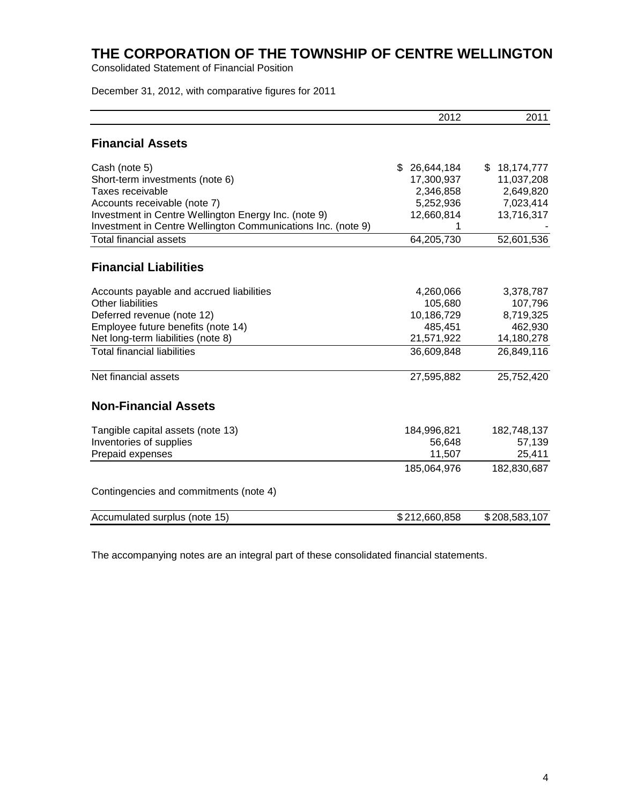Consolidated Statement of Financial Position

December 31, 2012, with comparative figures for 2011

|                                                              | 2012             | 2011              |
|--------------------------------------------------------------|------------------|-------------------|
| <b>Financial Assets</b>                                      |                  |                   |
| Cash (note 5)                                                | \$<br>26,644,184 | 18,174,777<br>\$. |
| Short-term investments (note 6)                              | 17,300,937       | 11,037,208        |
| Taxes receivable                                             | 2,346,858        | 2,649,820         |
| Accounts receivable (note 7)                                 | 5,252,936        | 7,023,414         |
| Investment in Centre Wellington Energy Inc. (note 9)         | 12,660,814       | 13,716,317        |
| Investment in Centre Wellington Communications Inc. (note 9) |                  |                   |
| <b>Total financial assets</b>                                | 64,205,730       | 52,601,536        |
| <b>Financial Liabilities</b>                                 |                  |                   |
| Accounts payable and accrued liabilities                     | 4,260,066        | 3,378,787         |
| <b>Other liabilities</b>                                     | 105,680          | 107,796           |
| Deferred revenue (note 12)                                   | 10,186,729       | 8,719,325         |
| Employee future benefits (note 14)                           | 485,451          | 462,930           |
| Net long-term liabilities (note 8)                           | 21,571,922       | 14,180,278        |
| <b>Total financial liabilities</b>                           | 36,609,848       | 26,849,116        |
| Net financial assets                                         | 27,595,882       | 25,752,420        |
| <b>Non-Financial Assets</b>                                  |                  |                   |
| Tangible capital assets (note 13)                            | 184,996,821      | 182,748,137       |
| Inventories of supplies                                      | 56,648           | 57,139            |
| Prepaid expenses                                             | 11,507           | 25,411            |
|                                                              | 185,064,976      | 182,830,687       |
| Contingencies and commitments (note 4)                       |                  |                   |
| Accumulated surplus (note 15)                                | \$212,660,858    | \$208,583,107     |
|                                                              |                  |                   |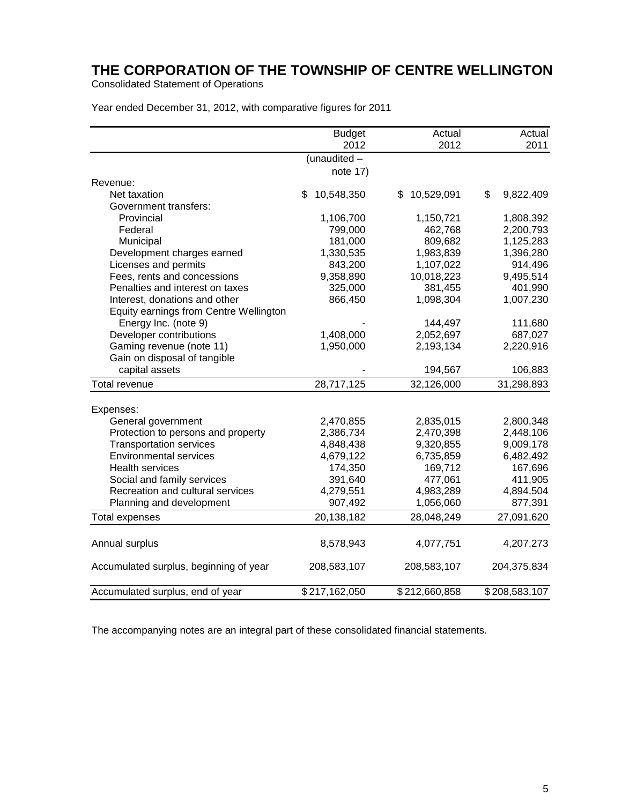Consolidated Statement of Operations

Year ended December 31, 2012, with comparative figures for 2011

|                                        | <b>Budget</b><br>2012 | Actual<br>2012   | Actual<br>2011  |
|----------------------------------------|-----------------------|------------------|-----------------|
|                                        | (unaudited -          |                  |                 |
|                                        | note 17)              |                  |                 |
| Revenue:                               |                       |                  |                 |
| Net taxation                           | \$<br>10,548,350      | \$<br>10,529,091 | \$<br>9,822,409 |
| Government transfers:                  |                       |                  |                 |
| Provincial                             | 1,106,700             | 1,150,721        | 1,808,392       |
| Federal                                | 799,000               | 462,768          | 2,200,793       |
| Municipal                              | 181,000               | 809,682          | 1,125,283       |
| Development charges earned             | 1,330,535             | 1,983,839        | 1,396,280       |
| Licenses and permits                   | 843,200               | 1,107,022        | 914,496         |
| Fees, rents and concessions            | 9,358,890             | 10,018,223       | 9,495,514       |
| Penalties and interest on taxes        | 325,000               | 381,455          | 401,990         |
| Interest, donations and other          | 866,450               | 1,098,304        | 1,007,230       |
| Equity earnings from Centre Wellington |                       |                  |                 |
| Energy Inc. (note 9)                   |                       | 144,497          | 111,680         |
| Developer contributions                | 1,408,000             | 2,052,697        | 687,027         |
| Gaming revenue (note 11)               | 1,950,000             | 2,193,134        | 2,220,916       |
| Gain on disposal of tangible           |                       |                  |                 |
| capital assets                         |                       | 194,567          | 106,883         |
| Total revenue                          | 28,717,125            | 32,126,000       | 31,298,893      |
|                                        |                       |                  |                 |
| Expenses:                              |                       |                  |                 |
| General government                     | 2,470,855             | 2,835,015        | 2,800,348       |
| Protection to persons and property     | 2,386,734             | 2,470,398        | 2,448,106       |
| <b>Transportation services</b>         | 4,848,438             | 9,320,855        | 9,009,178       |
| <b>Environmental services</b>          | 4,679,122             | 6,735,859        | 6,482,492       |
| <b>Health services</b>                 | 174,350               | 169,712          | 167,696         |
| Social and family services             | 391,640               | 477,061          | 411,905         |
| Recreation and cultural services       | 4,279,551             | 4,983,289        | 4,894,504       |
| Planning and development               | 907,492               | 1,056,060        | 877,391         |
| <b>Total expenses</b>                  | 20,138,182            | 28,048,249       | 27,091,620      |
| Annual surplus                         | 8,578,943             | 4,077,751        | 4,207,273       |
| Accumulated surplus, beginning of year | 208,583,107           | 208,583,107      | 204,375,834     |
| Accumulated surplus, end of year       | \$217,162,050         | \$212,660,858    | \$208,583,107   |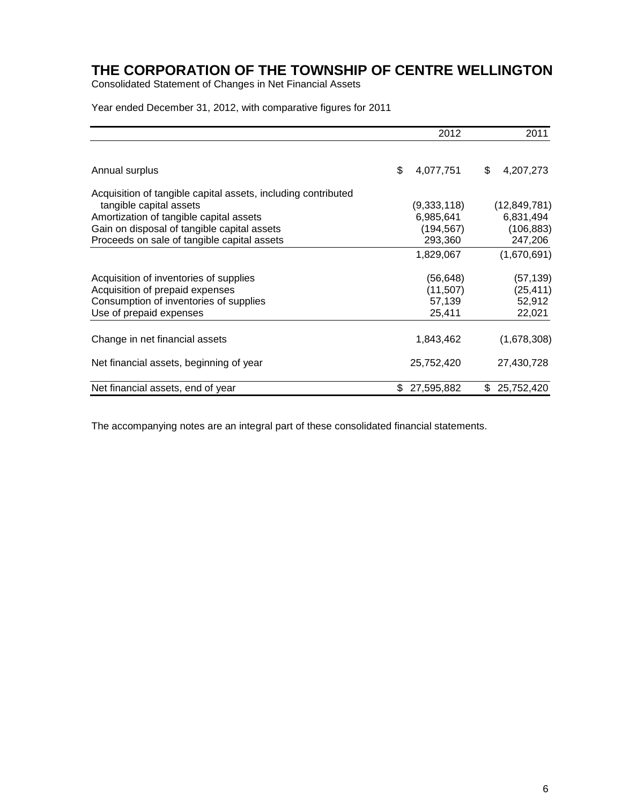Consolidated Statement of Changes in Net Financial Assets

Year ended December 31, 2012, with comparative figures for 2011

|                                                               | 2012             | 2011             |
|---------------------------------------------------------------|------------------|------------------|
| Annual surplus                                                | \$<br>4,077,751  | \$<br>4,207,273  |
| Acquisition of tangible capital assets, including contributed |                  |                  |
| tangible capital assets                                       | (9,333,118)      | (12, 849, 781)   |
| Amortization of tangible capital assets                       | 6,985,641        | 6,831,494        |
| Gain on disposal of tangible capital assets                   | (194, 567)       | (106, 883)       |
| Proceeds on sale of tangible capital assets                   | 293,360          | 247,206          |
|                                                               | 1,829,067        | (1,670,691)      |
| Acquisition of inventories of supplies                        | (56,648)         | (57, 139)        |
| Acquisition of prepaid expenses                               | (11, 507)        | (25, 411)        |
| Consumption of inventories of supplies                        | 57,139           | 52,912           |
| Use of prepaid expenses                                       | 25,411           | 22,021           |
| Change in net financial assets                                | 1,843,462        | (1,678,308)      |
| Net financial assets, beginning of year                       | 25,752,420       | 27,430,728       |
| Net financial assets, end of year                             | \$<br>27,595,882 | 25,752,420<br>\$ |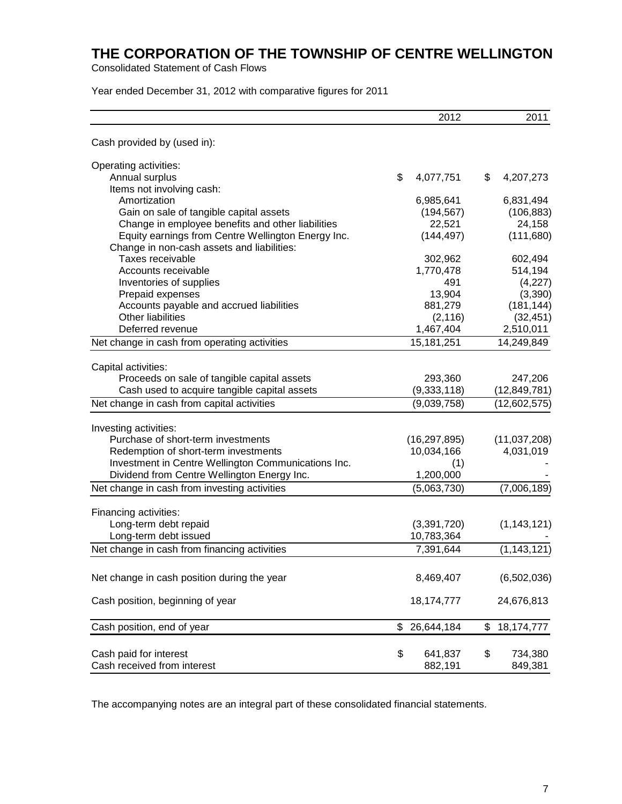Consolidated Statement of Cash Flows

Year ended December 31, 2012 with comparative figures for 2011

|                                                                                            | 2012                         | 2011                           |
|--------------------------------------------------------------------------------------------|------------------------------|--------------------------------|
| Cash provided by (used in):                                                                |                              |                                |
| Operating activities:                                                                      |                              |                                |
| Annual surplus                                                                             | \$<br>4,077,751              | \$<br>4,207,273                |
| Items not involving cash:                                                                  |                              |                                |
| Amortization                                                                               | 6,985,641                    | 6,831,494                      |
| Gain on sale of tangible capital assets                                                    | (194, 567)                   | (106, 883)                     |
| Change in employee benefits and other liabilities                                          | 22,521                       | 24,158                         |
| Equity earnings from Centre Wellington Energy Inc.                                         | (144, 497)                   | (111, 680)                     |
| Change in non-cash assets and liabilities:                                                 |                              |                                |
| Taxes receivable                                                                           | 302,962                      | 602,494                        |
| Accounts receivable                                                                        | 1,770,478                    | 514,194                        |
| Inventories of supplies                                                                    | 491                          | (4,227)                        |
| Prepaid expenses                                                                           | 13,904                       | (3,390)                        |
| Accounts payable and accrued liabilities                                                   | 881,279                      | (181, 144)                     |
| <b>Other liabilities</b>                                                                   | (2, 116)                     | (32, 451)                      |
| Deferred revenue                                                                           | 1,467,404                    | 2,510,011                      |
| Net change in cash from operating activities                                               | 15,181,251                   | 14,249,849                     |
|                                                                                            |                              |                                |
| Capital activities:                                                                        |                              |                                |
| Proceeds on sale of tangible capital assets                                                | 293,360                      | 247,206                        |
| Cash used to acquire tangible capital assets<br>Net change in cash from capital activities | (9, 333, 118)<br>(9,039,758) | (12, 849, 781)<br>(12,602,575) |
|                                                                                            |                              |                                |
| Investing activities:                                                                      |                              |                                |
| Purchase of short-term investments                                                         | (16, 297, 895)               | (11,037,208)                   |
| Redemption of short-term investments                                                       | 10,034,166                   | 4,031,019                      |
| Investment in Centre Wellington Communications Inc.                                        | (1)                          |                                |
| Dividend from Centre Wellington Energy Inc.                                                | 1,200,000                    |                                |
| Net change in cash from investing activities                                               | (5,063,730)                  | (7,006,189)                    |
|                                                                                            |                              |                                |
| Financing activities:<br>Long-term debt repaid                                             |                              |                                |
|                                                                                            | (3,391,720)                  | (1, 143, 121)                  |
| Long-term debt issued                                                                      | 10,783,364                   |                                |
| Net change in cash from financing activities                                               | 7,391,644                    | (1, 143, 121)                  |
| Net change in cash position during the year                                                | 8,469,407                    | (6,502,036)                    |
| Cash position, beginning of year                                                           | 18, 174, 777                 | 24,676,813                     |
| Cash position, end of year                                                                 | \$<br>26,644,184             | \$<br>18,174,777               |
|                                                                                            |                              |                                |
| Cash paid for interest                                                                     | \$<br>641,837                | \$<br>734,380                  |
| Cash received from interest                                                                | 882,191                      | 849,381                        |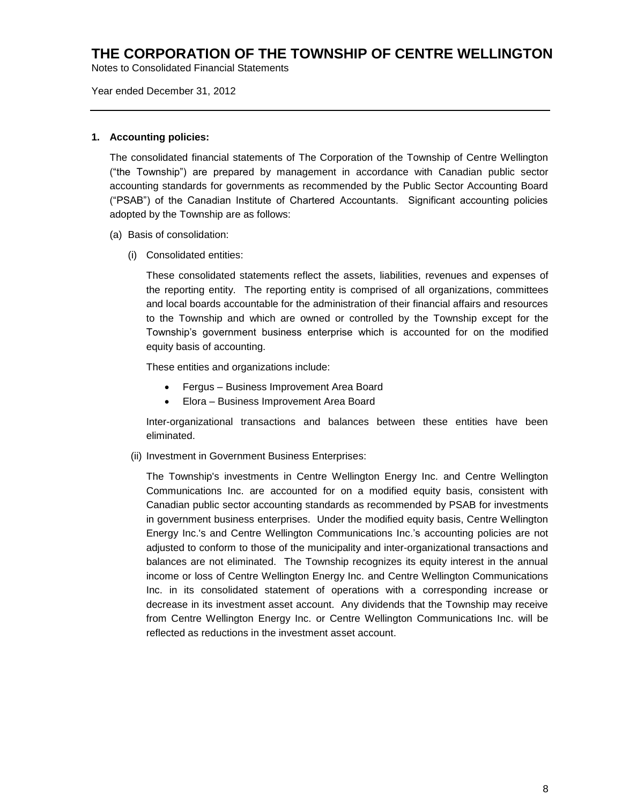Notes to Consolidated Financial Statements

Year ended December 31, 2012

### **1. Accounting policies:**

The consolidated financial statements of The Corporation of the Township of Centre Wellington ("the Township") are prepared by management in accordance with Canadian public sector accounting standards for governments as recommended by the Public Sector Accounting Board ("PSAB") of the Canadian Institute of Chartered Accountants. Significant accounting policies adopted by the Township are as follows:

- (a) Basis of consolidation:
	- (i) Consolidated entities:

These consolidated statements reflect the assets, liabilities, revenues and expenses of the reporting entity. The reporting entity is comprised of all organizations, committees and local boards accountable for the administration of their financial affairs and resources to the Township and which are owned or controlled by the Township except for the Township's government business enterprise which is accounted for on the modified equity basis of accounting.

These entities and organizations include:

- Fergus Business Improvement Area Board
- Elora Business Improvement Area Board

Inter-organizational transactions and balances between these entities have been eliminated.

(ii) Investment in Government Business Enterprises:

The Township's investments in Centre Wellington Energy Inc. and Centre Wellington Communications Inc. are accounted for on a modified equity basis, consistent with Canadian public sector accounting standards as recommended by PSAB for investments in government business enterprises. Under the modified equity basis, Centre Wellington Energy Inc.'s and Centre Wellington Communications Inc.'s accounting policies are not adjusted to conform to those of the municipality and inter-organizational transactions and balances are not eliminated. The Township recognizes its equity interest in the annual income or loss of Centre Wellington Energy Inc. and Centre Wellington Communications Inc. in its consolidated statement of operations with a corresponding increase or decrease in its investment asset account. Any dividends that the Township may receive from Centre Wellington Energy Inc. or Centre Wellington Communications Inc. will be reflected as reductions in the investment asset account.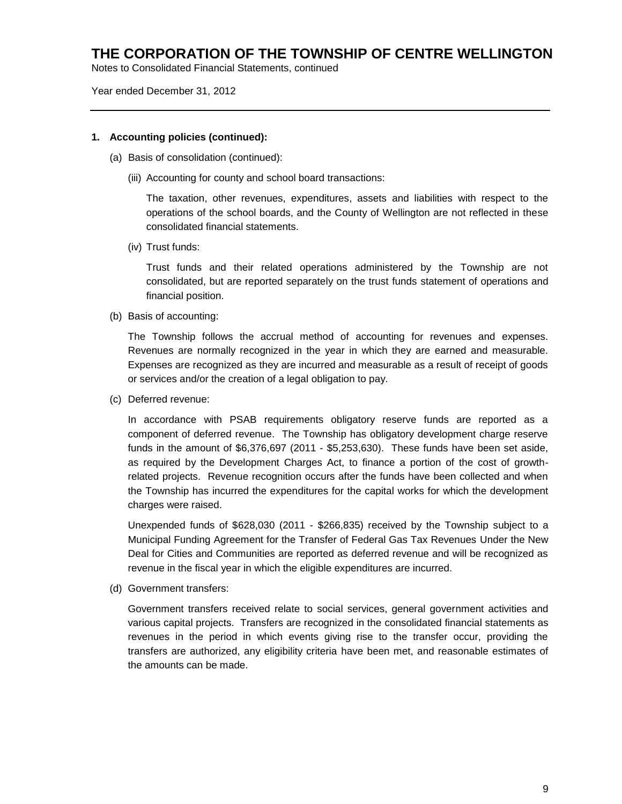Notes to Consolidated Financial Statements, continued

Year ended December 31, 2012

### **1. Accounting policies (continued):**

- (a) Basis of consolidation (continued):
	- (iii) Accounting for county and school board transactions:

The taxation, other revenues, expenditures, assets and liabilities with respect to the operations of the school boards, and the County of Wellington are not reflected in these consolidated financial statements.

(iv) Trust funds:

Trust funds and their related operations administered by the Township are not consolidated, but are reported separately on the trust funds statement of operations and financial position.

(b) Basis of accounting:

The Township follows the accrual method of accounting for revenues and expenses. Revenues are normally recognized in the year in which they are earned and measurable. Expenses are recognized as they are incurred and measurable as a result of receipt of goods or services and/or the creation of a legal obligation to pay.

(c) Deferred revenue:

In accordance with PSAB requirements obligatory reserve funds are reported as a component of deferred revenue. The Township has obligatory development charge reserve funds in the amount of \$6,376,697 (2011 - \$5,253,630). These funds have been set aside, as required by the Development Charges Act, to finance a portion of the cost of growthrelated projects. Revenue recognition occurs after the funds have been collected and when the Township has incurred the expenditures for the capital works for which the development charges were raised.

Unexpended funds of \$628,030 (2011 - \$266,835) received by the Township subject to a Municipal Funding Agreement for the Transfer of Federal Gas Tax Revenues Under the New Deal for Cities and Communities are reported as deferred revenue and will be recognized as revenue in the fiscal year in which the eligible expenditures are incurred.

(d) Government transfers:

Government transfers received relate to social services, general government activities and various capital projects. Transfers are recognized in the consolidated financial statements as revenues in the period in which events giving rise to the transfer occur, providing the transfers are authorized, any eligibility criteria have been met, and reasonable estimates of the amounts can be made.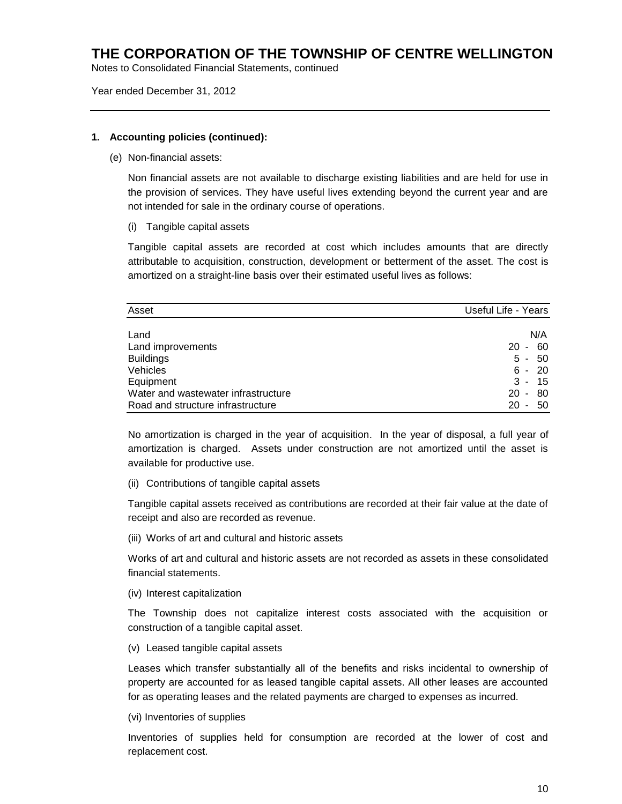Notes to Consolidated Financial Statements, continued

Year ended December 31, 2012

### **1. Accounting policies (continued):**

(e) Non-financial assets:

Non financial assets are not available to discharge existing liabilities and are held for use in the provision of services. They have useful lives extending beyond the current year and are not intended for sale in the ordinary course of operations.

(i) Tangible capital assets

Tangible capital assets are recorded at cost which includes amounts that are directly attributable to acquisition, construction, development or betterment of the asset. The cost is amortized on a straight-line basis over their estimated useful lives as follows:

| Asset                               | Useful Life - Years                  |
|-------------------------------------|--------------------------------------|
|                                     |                                      |
| Land                                | N/A                                  |
| Land improvements                   | 60<br>20<br>$\blacksquare$           |
| <b>Buildings</b>                    | 50<br>5 -                            |
| Vehicles                            | $6 - 20$                             |
| Equipment                           | $3 -$<br>-15                         |
| Water and wastewater infrastructure | 80<br>$20 -$                         |
| Road and structure infrastructure   | 20<br>50<br>$\overline{\phantom{a}}$ |

No amortization is charged in the year of acquisition. In the year of disposal, a full year of amortization is charged. Assets under construction are not amortized until the asset is available for productive use.

(ii) Contributions of tangible capital assets

Tangible capital assets received as contributions are recorded at their fair value at the date of receipt and also are recorded as revenue.

(iii) Works of art and cultural and historic assets

Works of art and cultural and historic assets are not recorded as assets in these consolidated financial statements.

(iv) Interest capitalization

The Township does not capitalize interest costs associated with the acquisition or construction of a tangible capital asset.

(v) Leased tangible capital assets

Leases which transfer substantially all of the benefits and risks incidental to ownership of property are accounted for as leased tangible capital assets. All other leases are accounted for as operating leases and the related payments are charged to expenses as incurred.

(vi) Inventories of supplies

Inventories of supplies held for consumption are recorded at the lower of cost and replacement cost.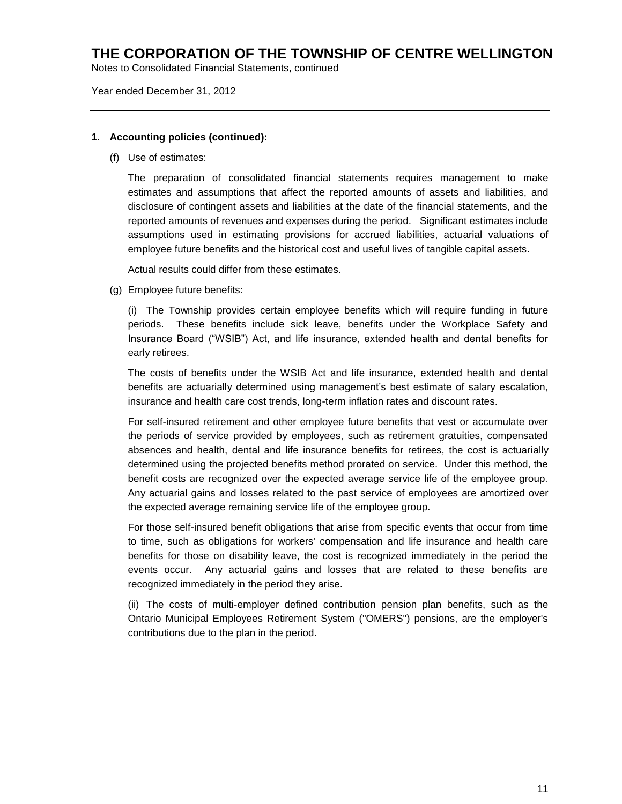Notes to Consolidated Financial Statements, continued

Year ended December 31, 2012

### **1. Accounting policies (continued):**

(f) Use of estimates:

The preparation of consolidated financial statements requires management to make estimates and assumptions that affect the reported amounts of assets and liabilities, and disclosure of contingent assets and liabilities at the date of the financial statements, and the reported amounts of revenues and expenses during the period. Significant estimates include assumptions used in estimating provisions for accrued liabilities, actuarial valuations of employee future benefits and the historical cost and useful lives of tangible capital assets.

Actual results could differ from these estimates.

(g) Employee future benefits:

(i) The Township provides certain employee benefits which will require funding in future periods. These benefits include sick leave, benefits under the Workplace Safety and Insurance Board ("WSIB") Act, and life insurance, extended health and dental benefits for early retirees.

The costs of benefits under the WSIB Act and life insurance, extended health and dental benefits are actuarially determined using management's best estimate of salary escalation, insurance and health care cost trends, long-term inflation rates and discount rates.

For self-insured retirement and other employee future benefits that vest or accumulate over the periods of service provided by employees, such as retirement gratuities, compensated absences and health, dental and life insurance benefits for retirees, the cost is actuarially determined using the projected benefits method prorated on service. Under this method, the benefit costs are recognized over the expected average service life of the employee group. Any actuarial gains and losses related to the past service of employees are amortized over the expected average remaining service life of the employee group.

For those self-insured benefit obligations that arise from specific events that occur from time to time, such as obligations for workers' compensation and life insurance and health care benefits for those on disability leave, the cost is recognized immediately in the period the events occur. Any actuarial gains and losses that are related to these benefits are recognized immediately in the period they arise.

(ii) The costs of multi-employer defined contribution pension plan benefits, such as the Ontario Municipal Employees Retirement System ("OMERS") pensions, are the employer's contributions due to the plan in the period.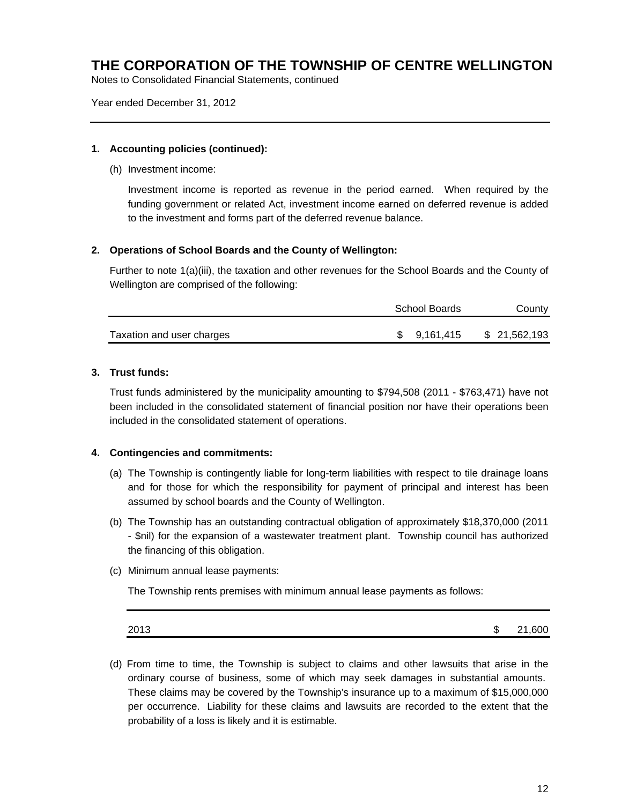Notes to Consolidated Financial Statements, continued

Year ended December 31, 2012

#### **1. Accounting policies (continued):**

(h) Investment income:

Investment income is reported as revenue in the period earned. When required by the funding government or related Act, investment income earned on deferred revenue is added to the investment and forms part of the deferred revenue balance.

### **2. Operations of School Boards and the County of Wellington:**

Further to note 1(a)(iii), the taxation and other revenues for the School Boards and the County of Wellington are comprised of the following:

|                           | School Boards | County       |
|---------------------------|---------------|--------------|
| Taxation and user charges | \$ 9.161.415  | \$21,562,193 |

### **3. Trust funds:**

Trust funds administered by the municipality amounting to \$794,508 (2011 - \$763,471) have not been included in the consolidated statement of financial position nor have their operations been included in the consolidated statement of operations.

### **4. Contingencies and commitments:**

- (a) The Township is contingently liable for long-term liabilities with respect to tile drainage loans and for those for which the responsibility for payment of principal and interest has been assumed by school boards and the County of Wellington.
- (b) The Township has an outstanding contractual obligation of approximately \$18,370,000 (2011 - \$nil) for the expansion of a wastewater treatment plant. Township council has authorized the financing of this obligation.
- (c) Minimum annual lease payments:

The Township rents premises with minimum annual lease payments as follows:

| 2013<br>æ<br>٠D | 21,600 |
|-----------------|--------|
|-----------------|--------|

(d) From time to time, the Township is subject to claims and other lawsuits that arise in the ordinary course of business, some of which may seek damages in substantial amounts. These claims may be covered by the Township's insurance up to a maximum of \$15,000,000 per occurrence. Liability for these claims and lawsuits are recorded to the extent that the probability of a loss is likely and it is estimable.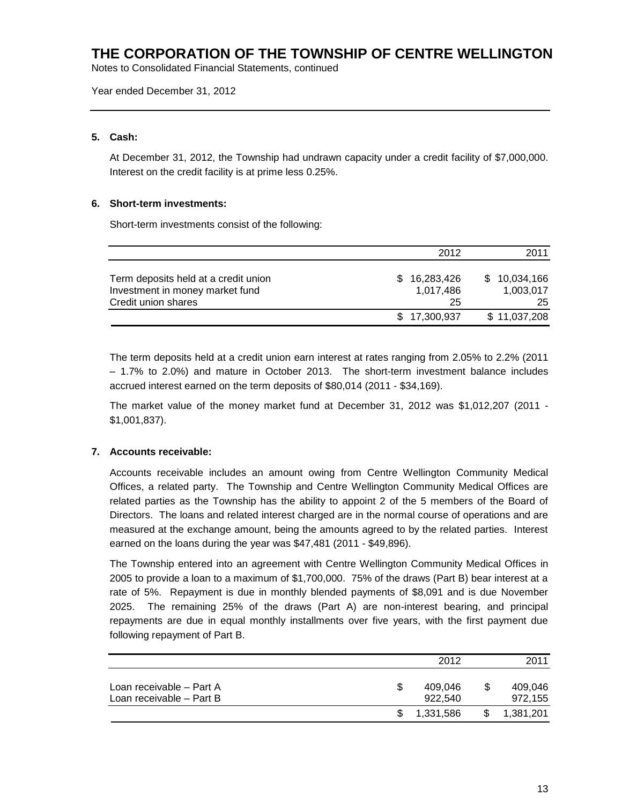Notes to Consolidated Financial Statements, continued

Year ended December 31, 2012

### **5. Cash:**

At December 31, 2012, the Township had undrawn capacity under a credit facility of \$7,000,000. Interest on the credit facility is at prime less 0.25%.

### **6. Short-term investments:**

Short-term investments consist of the following:

|                                                                                                | 2012                            | 2011                                |
|------------------------------------------------------------------------------------------------|---------------------------------|-------------------------------------|
| Term deposits held at a credit union<br>Investment in money market fund<br>Credit union shares | \$16,283,426<br>1,017,486<br>25 | 10,034,166<br>S.<br>1,003,017<br>25 |
|                                                                                                | \$17,300,937                    | \$11,037,208                        |

The term deposits held at a credit union earn interest at rates ranging from 2.05% to 2.2% (2011 – 1.7% to 2.0%) and mature in October 2013. The short-term investment balance includes accrued interest earned on the term deposits of \$80,014 (2011 - \$34,169).

The market value of the money market fund at December 31, 2012 was \$1,012,207 (2011 - \$1,001,837).

### **7. Accounts receivable:**

Accounts receivable includes an amount owing from Centre Wellington Community Medical Offices, a related party. The Township and Centre Wellington Community Medical Offices are related parties as the Township has the ability to appoint 2 of the 5 members of the Board of Directors. The loans and related interest charged are in the normal course of operations and are measured at the exchange amount, being the amounts agreed to by the related parties. Interest earned on the loans during the year was \$47,481 (2011 - \$49,896).

The Township entered into an agreement with Centre Wellington Community Medical Offices in 2005 to provide a loan to a maximum of \$1,700,000. 75% of the draws (Part B) bear interest at a rate of 5%. Repayment is due in monthly blended payments of \$8,091 and is due November 2025. The remaining 25% of the draws (Part A) are non-interest bearing, and principal repayments are due in equal monthly installments over five years, with the first payment due following repayment of Part B.

|                                                      |     | 2012               |   | 2011               |
|------------------------------------------------------|-----|--------------------|---|--------------------|
| Loan receivable – Part A<br>Loan receivable - Part B |     | 409.046<br>922.540 | S | 409.046<br>972.155 |
|                                                      | \$. | 1,331,586          | S | 1,381,201          |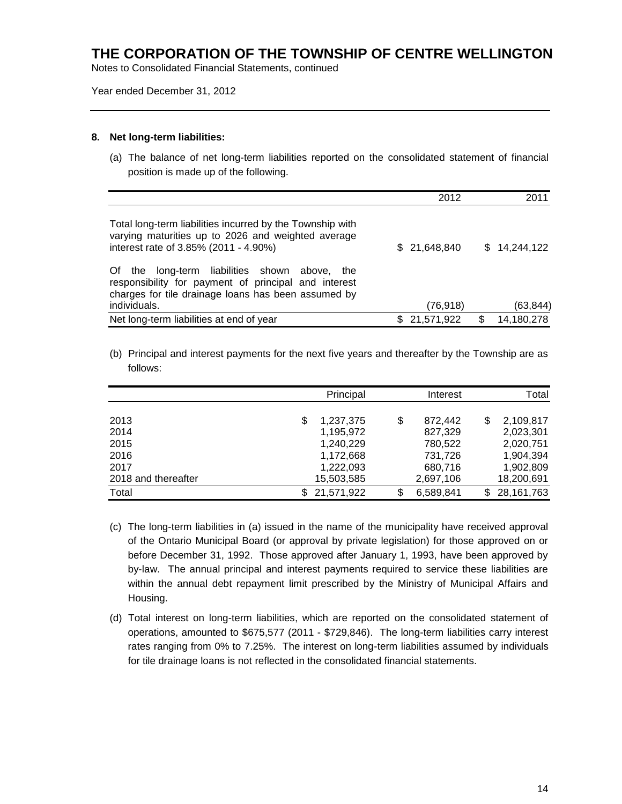Notes to Consolidated Financial Statements, continued

Year ended December 31, 2012

### **8. Net long-term liabilities:**

(a) The balance of net long-term liabilities reported on the consolidated statement of financial position is made up of the following.

|                                                                                                                                                                                 | 2012          |     | 2011         |
|---------------------------------------------------------------------------------------------------------------------------------------------------------------------------------|---------------|-----|--------------|
| Total long-term liabilities incurred by the Township with<br>varying maturities up to 2026 and weighted average<br>interest rate of 3.85% (2011 - 4.90%)                        | \$ 21,648,840 |     | \$14,244,122 |
| the long-term liabilities shown above, the<br>Of<br>responsibility for payment of principal and interest<br>charges for tile drainage loans has been assumed by<br>individuals. | (76, 918)     |     | (63, 844)    |
| Net long-term liabilities at end of year                                                                                                                                        | \$21,571,922  | \$. | 14,180,278   |

(b) Principal and interest payments for the next five years and thereafter by the Township are as follows:

|                     | Principal  | Interest      | Total               |
|---------------------|------------|---------------|---------------------|
|                     |            |               |                     |
| 2013                | 1,237,375  | \$<br>872.442 | 2,109,817<br>\$     |
| 2014                | 1,195,972  | 827,329       | 2,023,301           |
| 2015                | 1,240,229  | 780,522       | 2,020,751           |
| 2016                | 1,172,668  | 731,726       | 1,904,394           |
| 2017                | 1,222,093  | 680,716       | 1,902,809           |
| 2018 and thereafter | 15,503,585 | 2,697,106     | 18,200,691          |
| Total               | 21,571,922 | 6,589,841     | 28, 161, 763<br>\$. |

- (c) The long-term liabilities in (a) issued in the name of the municipality have received approval of the Ontario Municipal Board (or approval by private legislation) for those approved on or before December 31, 1992. Those approved after January 1, 1993, have been approved by by-law. The annual principal and interest payments required to service these liabilities are within the annual debt repayment limit prescribed by the Ministry of Municipal Affairs and Housing.
- (d) Total interest on long-term liabilities, which are reported on the consolidated statement of operations, amounted to \$675,577 (2011 - \$729,846). The long-term liabilities carry interest rates ranging from 0% to 7.25%. The interest on long-term liabilities assumed by individuals for tile drainage loans is not reflected in the consolidated financial statements.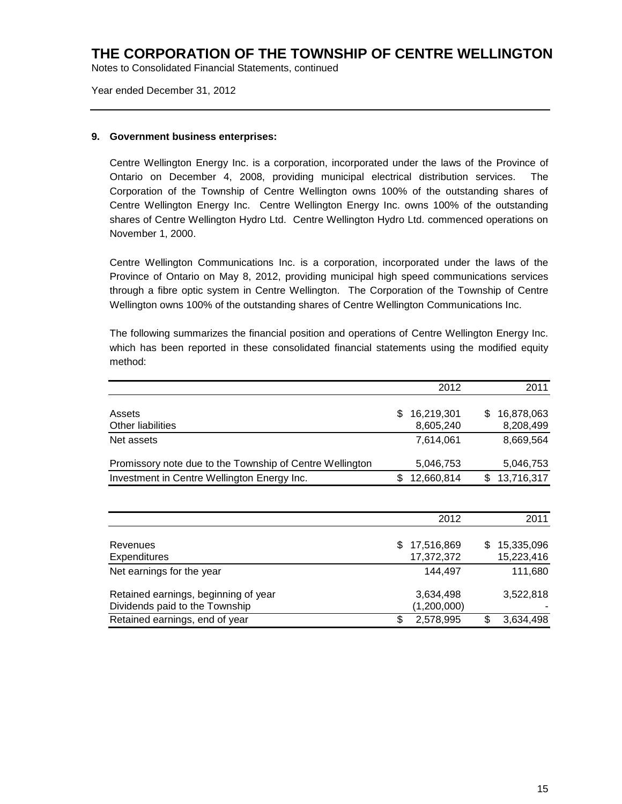Notes to Consolidated Financial Statements, continued

Year ended December 31, 2012

### **9. Government business enterprises:**

Centre Wellington Energy Inc. is a corporation, incorporated under the laws of the Province of Ontario on December 4, 2008, providing municipal electrical distribution services. The Corporation of the Township of Centre Wellington owns 100% of the outstanding shares of Centre Wellington Energy Inc. Centre Wellington Energy Inc. owns 100% of the outstanding shares of Centre Wellington Hydro Ltd. Centre Wellington Hydro Ltd. commenced operations on November 1, 2000.

Centre Wellington Communications Inc. is a corporation, incorporated under the laws of the Province of Ontario on May 8, 2012, providing municipal high speed communications services through a fibre optic system in Centre Wellington. The Corporation of the Township of Centre Wellington owns 100% of the outstanding shares of Centre Wellington Communications Inc.

The following summarizes the financial position and operations of Centre Wellington Energy Inc. which has been reported in these consolidated financial statements using the modified equity method:

|                                                          | 2012                           | 2011                            |
|----------------------------------------------------------|--------------------------------|---------------------------------|
| Assets<br><b>Other liabilities</b>                       | \$<br>16,219,301<br>8,605,240  | 16,878,063<br>\$<br>8,208,499   |
| Net assets                                               | 7,614,061                      | 8,669,564                       |
| Promissory note due to the Township of Centre Wellington | 5,046,753                      | 5,046,753                       |
| Investment in Centre Wellington Energy Inc.              | \$<br>12,660,814               | 13,716,317<br>\$                |
|                                                          |                                |                                 |
|                                                          | 2012                           | 2011                            |
| Revenues<br>Expenditures                                 | 17,516,869<br>\$<br>17,372,372 | 15,335,096<br>\$.<br>15,223,416 |
| Net earnings for the year                                | 144,497                        | 111,680                         |
| Retained earnings, beginning of year                     | 3,634,498                      | 3,522,818                       |

Retained earnings, end of year **\$ 2,578,995** \$ 3,634,498

Dividends paid to the Township (1,200,000)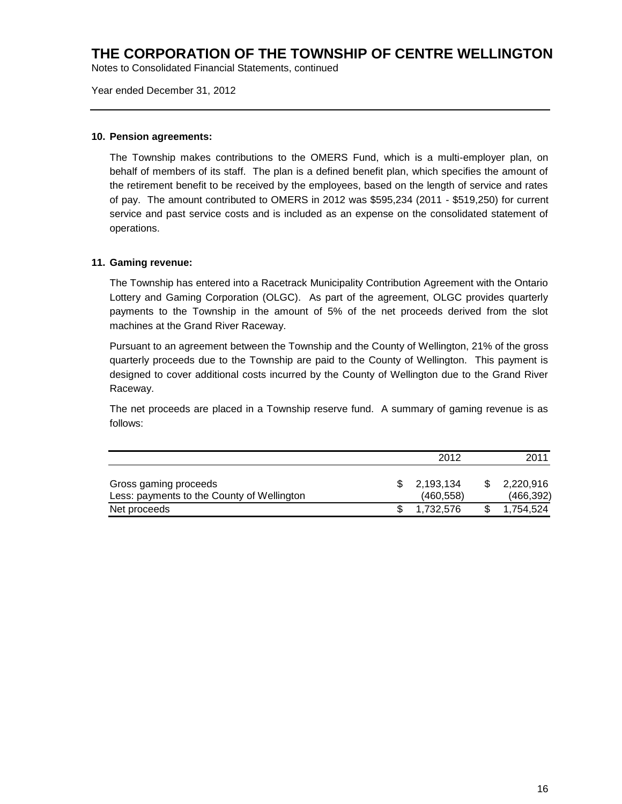Notes to Consolidated Financial Statements, continued

Year ended December 31, 2012

### **10. Pension agreements:**

The Township makes contributions to the OMERS Fund, which is a multi-employer plan, on behalf of members of its staff. The plan is a defined benefit plan, which specifies the amount of the retirement benefit to be received by the employees, based on the length of service and rates of pay. The amount contributed to OMERS in 2012 was \$595,234 (2011 - \$519,250) for current service and past service costs and is included as an expense on the consolidated statement of operations.

### **11. Gaming revenue:**

The Township has entered into a Racetrack Municipality Contribution Agreement with the Ontario Lottery and Gaming Corporation (OLGC). As part of the agreement, OLGC provides quarterly payments to the Township in the amount of 5% of the net proceeds derived from the slot machines at the Grand River Raceway.

Pursuant to an agreement between the Township and the County of Wellington, 21% of the gross quarterly proceeds due to the Township are paid to the County of Wellington. This payment is designed to cover additional costs incurred by the County of Wellington due to the Grand River Raceway.

The net proceeds are placed in a Township reserve fund. A summary of gaming revenue is as follows:

|                                                                     | 2012                   | 2011                    |
|---------------------------------------------------------------------|------------------------|-------------------------|
| Gross gaming proceeds<br>Less: payments to the County of Wellington | 2,193,134<br>(460.558) | 2,220,916<br>(466, 392) |
| Net proceeds                                                        | 1.732.576              | 1.754.524               |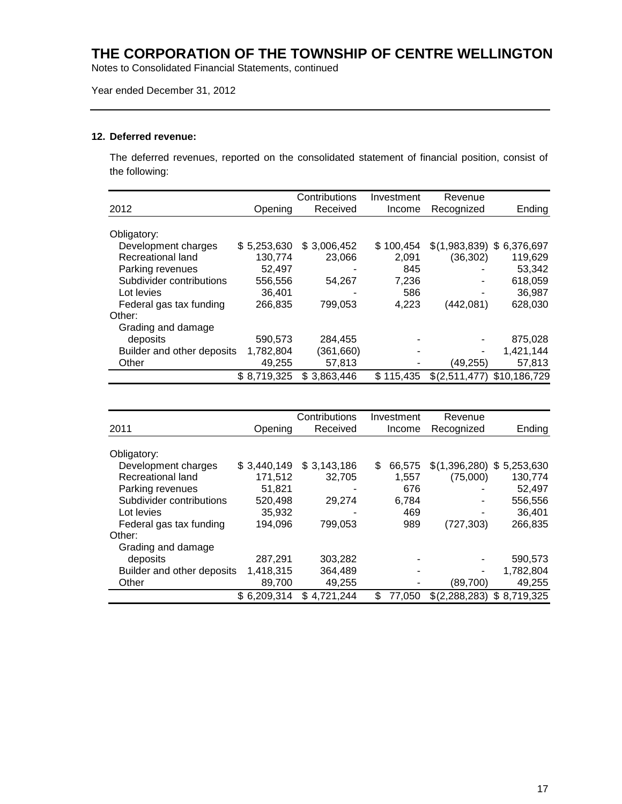Notes to Consolidated Financial Statements, continued

### Year ended December 31, 2012

### **12. Deferred revenue:**

The deferred revenues, reported on the consolidated statement of financial position, consist of the following:

|                            |             | Contributions | Investment | Revenue                    |              |
|----------------------------|-------------|---------------|------------|----------------------------|--------------|
| 2012                       | Opening     | Received      | Income     | Recognized                 | Ending       |
|                            |             |               |            |                            |              |
| Obligatory:                |             |               |            |                            |              |
| Development charges        | \$5,253,630 | \$3,006,452   | \$100.454  | $$(1,983,839)$ \$6,376,697 |              |
| Recreational land          | 130.774     | 23.066        | 2,091      | (36, 302)                  | 119,629      |
| Parking revenues           | 52,497      |               | 845        |                            | 53,342       |
| Subdivider contributions   | 556,556     | 54.267        | 7,236      |                            | 618,059      |
| Lot levies                 | 36.401      |               | 586        |                            | 36,987       |
| Federal gas tax funding    | 266,835     | 799.053       | 4,223      | (442,081)                  | 628,030      |
| Other:                     |             |               |            |                            |              |
| Grading and damage         |             |               |            |                            |              |
| deposits                   | 590,573     | 284,455       |            | ۰                          | 875,028      |
| Builder and other deposits | 1,782,804   | (361,660)     |            |                            | 1,421,144    |
| Other                      | 49,255      | 57,813        |            | (49,255)                   | 57,813       |
|                            | \$8,719,325 | \$3,863,446   | \$115.435  | \$(2,511,477)              | \$10.186.729 |

|                            |             | Contributions | Investment    | Revenue       |             |
|----------------------------|-------------|---------------|---------------|---------------|-------------|
| 2011                       | Opening     | Received      | Income        | Recognized    | Ending      |
|                            |             |               |               |               |             |
| Obligatory:                |             |               |               |               |             |
| Development charges        | \$3,440,149 | \$3,143,186   | 66,575<br>\$. | \$(1,396,280) | \$5,253,630 |
| Recreational land          | 171,512     | 32.705        | 1,557         | (75,000)      | 130,774     |
| Parking revenues           | 51,821      |               | 676           |               | 52,497      |
| Subdivider contributions   | 520,498     | 29.274        | 6,784         |               | 556,556     |
| Lot levies                 | 35,932      |               | 469           | ٠             | 36,401      |
| Federal gas tax funding    | 194,096     | 799,053       | 989           | (727, 303)    | 266,835     |
| Other:                     |             |               |               |               |             |
| Grading and damage         |             |               |               |               |             |
| deposits                   | 287,291     | 303,282       |               |               | 590,573     |
| Builder and other deposits | 1,418,315   | 364,489       |               | ٠             | 1,782,804   |
| Other                      | 89,700      | 49,255        |               | (89,700)      | 49,255      |
|                            | \$6,209,314 | \$4,721,244   | \$<br>77.050  | \$(2,288,283) | \$8,719,325 |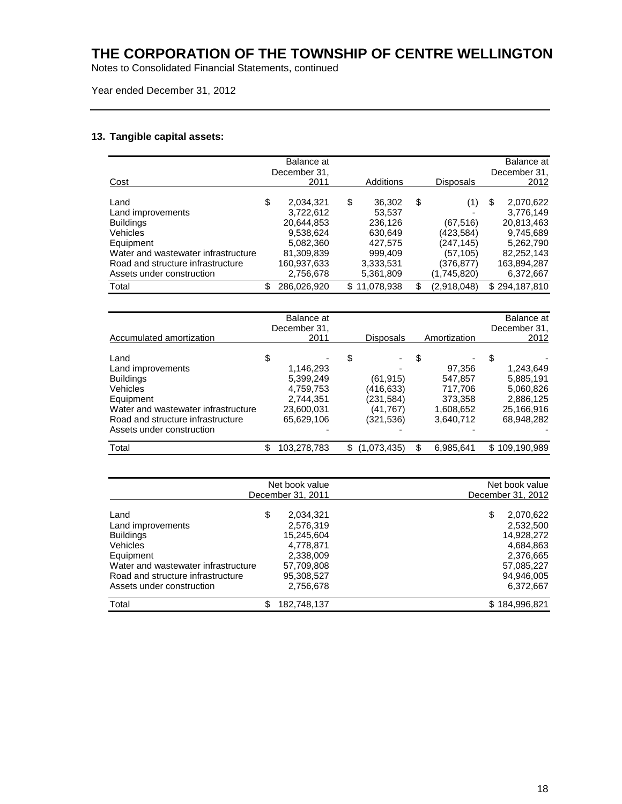Notes to Consolidated Financial Statements, continued

### Year ended December 31, 2012

### **13. Tangible capital assets:**

|                                     | Balance at<br>December 31. |                   |                   | Balance at<br>December 31, |
|-------------------------------------|----------------------------|-------------------|-------------------|----------------------------|
| Cost                                | 2011                       | Additions         | <b>Disposals</b>  | 2012                       |
| Land                                | \$<br>2,034,321            | \$<br>36,302      | \$<br>(1)         | \$<br>2,070,622            |
| Land improvements                   | 3,722,612                  | 53,537            |                   | 3,776,149                  |
| <b>Buildings</b>                    | 20,644,853                 | 236,126           | (67, 516)         | 20,813,463                 |
| Vehicles                            | 9,538,624                  | 630,649           | (423,584)         | 9,745,689                  |
| Equipment                           | 5,082,360                  | 427,575           | (247, 145)        | 5,262,790                  |
| Water and wastewater infrastructure | 81,309,839                 | 999,409           | (57, 105)         | 82,252,143                 |
| Road and structure infrastructure   | 160,937,633                | 3,333,531         | (376, 877)        | 163,894,287                |
| Assets under construction           | 2,756,678                  | 5,361,809         | (1,745,820)       | 6,372,667                  |
| Total                               | \$<br>286,026,920          | \$11,078,938      | \$<br>(2,918,048) | \$294,187,810              |
|                                     |                            |                   |                   |                            |
|                                     | Balance at                 |                   |                   | Balance at                 |
|                                     | December 31,               |                   |                   | December 31,               |
| Accumulated amortization            | 2011                       | <b>Disposals</b>  | Amortization      | 2012                       |
| Land                                | \$                         | \$                | \$                | \$                         |
| Land improvements                   | 1,146,293                  |                   | 97,356            | 1,243,649                  |
| <b>Buildings</b>                    | 5,399,249                  | (61, 915)         | 547,857           | 5,885,191                  |
| Vehicles                            | 4,759,753                  | (416, 633)        | 717,706           | 5,060,826                  |
| Equipment                           | 2,744,351                  | (231, 584)        | 373,358           | 2,886,125                  |
| Water and wastewater infrastructure | 23,600,031                 | (41, 767)         | 1,608,652         | 25,166,916                 |
| Road and structure infrastructure   | 65,629,106                 | (321, 536)        | 3,640,712         | 68,948,282                 |
| Assets under construction           |                            |                   |                   |                            |
| Total                               | \$<br>103,278,783          | \$<br>(1,073,435) | \$<br>6,985,641   | \$109,190,989              |
|                                     |                            |                   |                   |                            |
|                                     | Nat hook value             |                   |                   | Alat hook valua            |

| Net book value<br>December 31, 2011 |    | Net book value<br>December 31, 2012 |                 |
|-------------------------------------|----|-------------------------------------|-----------------|
|                                     |    |                                     |                 |
| Land                                | \$ | 2,034,321                           | 2,070,622<br>\$ |
| Land improvements                   |    | 2,576,319                           | 2,532,500       |
| <b>Buildings</b>                    |    | 15,245,604                          | 14,928,272      |
| <b>Vehicles</b>                     |    | 4,778,871                           | 4,684,863       |
| Equipment                           |    | 2,338,009                           | 2,376,665       |
| Water and wastewater infrastructure |    | 57,709,808                          | 57,085,227      |
| Road and structure infrastructure   |    | 95,308,527                          | 94,946,005      |
| Assets under construction           |    | 2,756,678                           | 6,372,667       |
| Total                               | \$ | 182,748,137                         | \$184,996,821   |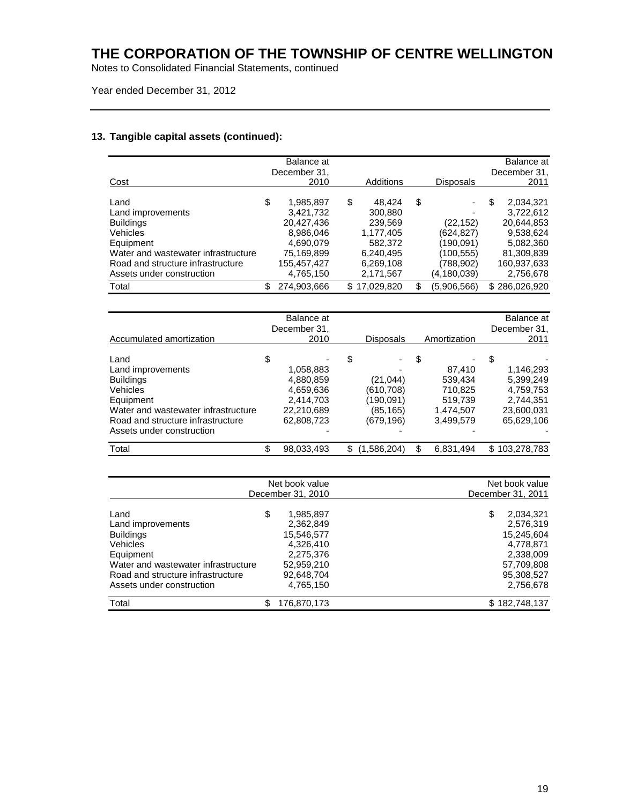Notes to Consolidated Financial Statements, continued

Year ended December 31, 2012

### **13. Tangible capital assets (continued):**

|                                     | Balance at        |                   |                   | Balance at        |
|-------------------------------------|-------------------|-------------------|-------------------|-------------------|
|                                     | December 31,      |                   |                   | December 31,      |
| Cost                                | 2010              | Additions         | <b>Disposals</b>  | 2011              |
|                                     |                   |                   |                   |                   |
| Land                                | \$<br>1,985,897   | \$<br>48,424      | \$                | \$<br>2,034,321   |
| Land improvements                   | 3,421,732         | 300,880           |                   | 3,722,612         |
| <b>Buildings</b>                    | 20,427,436        | 239,569           | (22, 152)         | 20,644,853        |
| Vehicles                            | 8,986,046         | 1,177,405         | (624,827)         | 9,538,624         |
| Equipment                           | 4,690,079         | 582,372           | (190,091)         | 5,082,360         |
| Water and wastewater infrastructure | 75,169,899        | 6,240,495         | (100,555)         | 81,309,839        |
| Road and structure infrastructure   | 155,457,427       | 6,269,108         | (788, 902)        | 160,937,633       |
| Assets under construction           | 4,765,150         | 2,171,567         | (4, 180, 039)     | 2,756,678         |
| Total                               | \$<br>274,903,666 | \$17,029,820      | \$<br>(5,906,566) | \$286,026,920     |
|                                     |                   |                   |                   |                   |
|                                     |                   |                   |                   |                   |
|                                     | Balance at        |                   |                   | <b>Balance</b> at |
|                                     | December 31,      |                   |                   | December 31,      |
| <b>Accumulated amortization</b>     | 2010              | <b>Disposals</b>  | Amortization      | 2011              |
|                                     |                   |                   |                   |                   |
| Land                                | \$                | \$                | \$                | \$                |
| Land improvements                   | 1,058,883         |                   | 87,410            | 1,146,293         |
| <b>Buildings</b>                    | 4,880,859         | (21, 044)         | 539,434           | 5,399,249         |
| Vehicles                            | 4,659,636         | (610, 708)        | 710,825           | 4,759,753         |
| Equipment                           | 2,414,703         | (190,091)         | 519,739           | 2,744,351         |
| Water and wastewater infrastructure | 22,210,689        | (85, 165)         | 1,474,507         | 23,600,031        |
| Road and structure infrastructure   | 62,808,723        | (679, 196)        | 3,499,579         | 65,629,106        |
| Assets under construction           |                   |                   |                   |                   |
|                                     |                   |                   |                   |                   |
| Total                               | \$<br>98,033,493  | \$<br>(1,586,204) | \$<br>6,831,494   | \$103,278,783     |
|                                     |                   |                   |                   |                   |
|                                     | Net book value    |                   |                   | Net book value    |
|                                     | December 31, 2010 |                   |                   |                   |
|                                     |                   |                   |                   | December 31, 2011 |
| Land                                | \$<br>1,985,897   |                   |                   | \$<br>2,034,321   |
| Land improvements                   | 2,362,849         |                   |                   | 2,576,319         |
| <b>Buildings</b>                    | 15,546,577        |                   |                   | 15,245,604        |
| Vehicles                            | 4,326,410         |                   |                   | 4,778,871         |
| Equipment                           | 2,275,376         |                   |                   | 2,338,009         |
|                                     |                   |                   |                   |                   |
| Water and wastewater infrastructure | 52,959,210        |                   |                   | 57,709,808        |
| Road and structure infrastructure   | 92,648,704        |                   |                   | 95,308,527        |

Road and structure infrastructure  $92,648,704$ <br>Assets under construction  $4,765,150$ <br> $4,765,150$ <br> $2,756,678$ Assets under construction Total \$ 176,870,173 \$ 182,748,137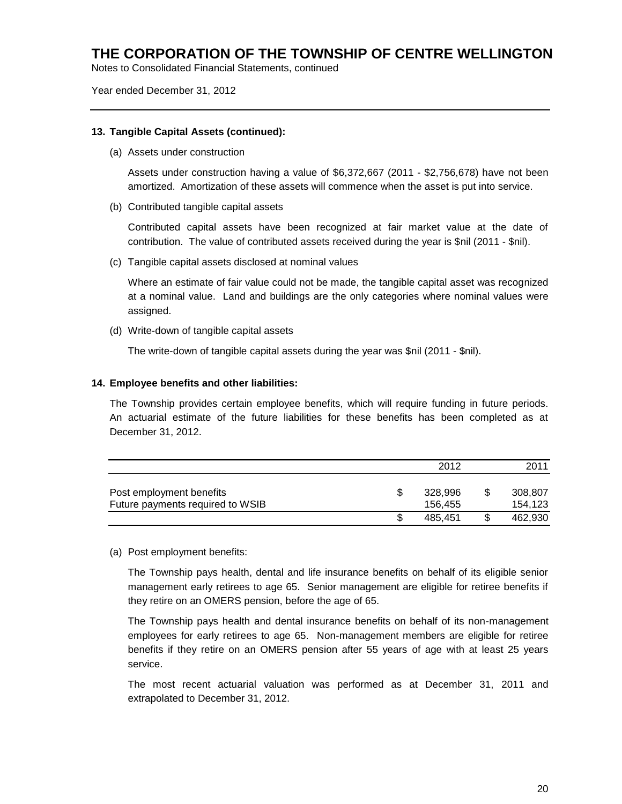Notes to Consolidated Financial Statements, continued

Year ended December 31, 2012

### **13. Tangible Capital Assets (continued):**

(a) Assets under construction

Assets under construction having a value of \$6,372,667 (2011 - \$2,756,678) have not been amortized. Amortization of these assets will commence when the asset is put into service.

(b) Contributed tangible capital assets

Contributed capital assets have been recognized at fair market value at the date of contribution. The value of contributed assets received during the year is \$nil (2011 - \$nil).

(c) Tangible capital assets disclosed at nominal values

Where an estimate of fair value could not be made, the tangible capital asset was recognized at a nominal value. Land and buildings are the only categories where nominal values were assigned.

(d) Write-down of tangible capital assets

The write-down of tangible capital assets during the year was \$nil (2011 - \$nil).

### **14. Employee benefits and other liabilities:**

The Township provides certain employee benefits, which will require funding in future periods. An actuarial estimate of the future liabilities for these benefits has been completed as at December 31, 2012.

|                                                              | 2012               | 2011               |
|--------------------------------------------------------------|--------------------|--------------------|
| Post employment benefits<br>Future payments required to WSIB | 328.996<br>156.455 | 308,807<br>154,123 |
|                                                              | 485.451            | 462.930            |

### (a) Post employment benefits:

The Township pays health, dental and life insurance benefits on behalf of its eligible senior management early retirees to age 65. Senior management are eligible for retiree benefits if they retire on an OMERS pension, before the age of 65.

The Township pays health and dental insurance benefits on behalf of its non-management employees for early retirees to age 65. Non-management members are eligible for retiree benefits if they retire on an OMERS pension after 55 years of age with at least 25 years service.

The most recent actuarial valuation was performed as at December 31, 2011 and extrapolated to December 31, 2012.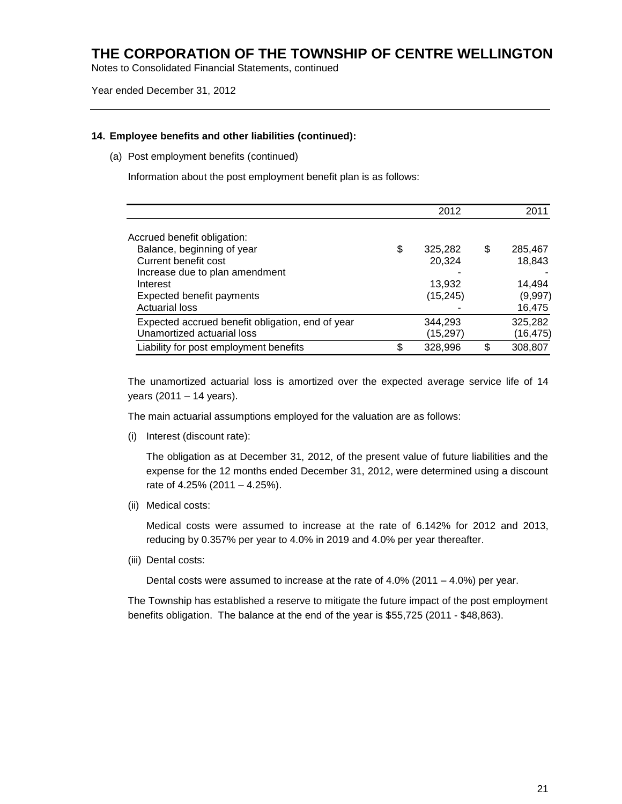Notes to Consolidated Financial Statements, continued

Year ended December 31, 2012

#### **14. Employee benefits and other liabilities (continued):**

(a) Post employment benefits (continued)

Information about the post employment benefit plan is as follows:

|                                                  | 2012          |     | 2011     |
|--------------------------------------------------|---------------|-----|----------|
| Accrued benefit obligation:                      |               |     |          |
| Balance, beginning of year                       | \$<br>325,282 | \$  | 285,467  |
| Current benefit cost                             | 20,324        |     | 18,843   |
| Increase due to plan amendment                   |               |     |          |
| Interest                                         | 13,932        |     | 14,494   |
| <b>Expected benefit payments</b>                 | (15, 245)     |     | (9,997)  |
| <b>Actuarial loss</b>                            |               |     | 16,475   |
| Expected accrued benefit obligation, end of year | 344,293       |     | 325,282  |
| Unamortized actuarial loss                       | (15, 297)     |     | (16,475) |
| Liability for post employment benefits           | \$<br>328,996 | \$. | 308,807  |

The unamortized actuarial loss is amortized over the expected average service life of 14 years (2011 – 14 years).

The main actuarial assumptions employed for the valuation are as follows:

(i) Interest (discount rate):

The obligation as at December 31, 2012, of the present value of future liabilities and the expense for the 12 months ended December 31, 2012, were determined using a discount rate of 4.25% (2011 – 4.25%).

(ii) Medical costs:

Medical costs were assumed to increase at the rate of 6.142% for 2012 and 2013, reducing by 0.357% per year to 4.0% in 2019 and 4.0% per year thereafter.

(iii) Dental costs:

Dental costs were assumed to increase at the rate of 4.0% (2011 – 4.0%) per year.

The Township has established a reserve to mitigate the future impact of the post employment benefits obligation. The balance at the end of the year is \$55,725 (2011 - \$48,863).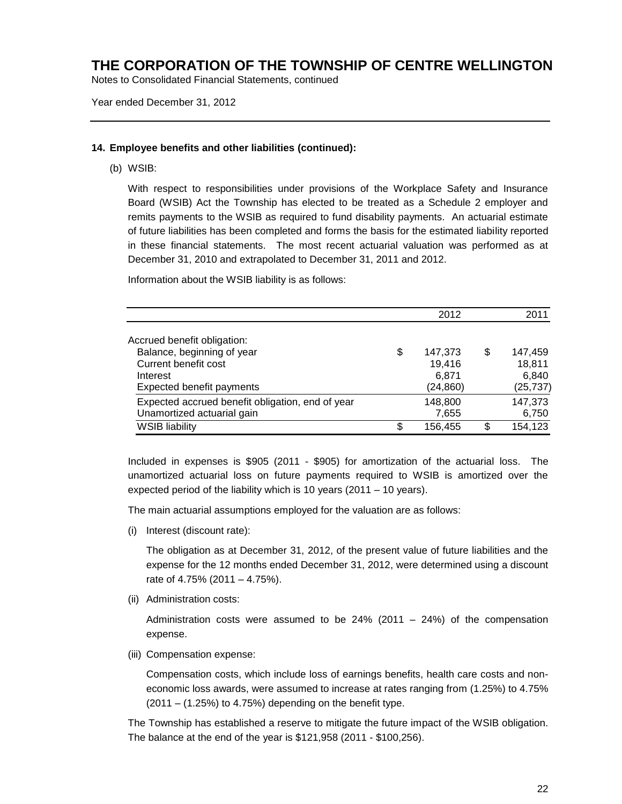Notes to Consolidated Financial Statements, continued

Year ended December 31, 2012

### **14. Employee benefits and other liabilities (continued):**

(b) WSIB:

With respect to responsibilities under provisions of the Workplace Safety and Insurance Board (WSIB) Act the Township has elected to be treated as a Schedule 2 employer and remits payments to the WSIB as required to fund disability payments. An actuarial estimate of future liabilities has been completed and forms the basis for the estimated liability reported in these financial statements. The most recent actuarial valuation was performed as at December 31, 2010 and extrapolated to December 31, 2011 and 2012.

Information about the WSIB liability is as follows:

|                                                  | 2012          | 2011          |
|--------------------------------------------------|---------------|---------------|
| Accrued benefit obligation:                      |               |               |
| Balance, beginning of year                       | \$<br>147,373 | \$<br>147,459 |
| Current benefit cost                             | 19,416        | 18,811        |
| Interest                                         | 6,871         | 6,840         |
| <b>Expected benefit payments</b>                 | (24, 860)     | (25, 737)     |
| Expected accrued benefit obligation, end of year | 148,800       | 147,373       |
| Unamortized actuarial gain                       | 7,655         | 6,750         |
| <b>WSIB liability</b>                            | \$<br>156,455 | 154,123       |

Included in expenses is \$905 (2011 - \$905) for amortization of the actuarial loss. The unamortized actuarial loss on future payments required to WSIB is amortized over the expected period of the liability which is 10 years (2011 – 10 years).

The main actuarial assumptions employed for the valuation are as follows:

(i) Interest (discount rate):

The obligation as at December 31, 2012, of the present value of future liabilities and the expense for the 12 months ended December 31, 2012, were determined using a discount rate of 4.75% (2011 – 4.75%).

(ii) Administration costs:

Administration costs were assumed to be  $24\%$  (2011 –  $24\%$ ) of the compensation expense.

(iii) Compensation expense:

Compensation costs, which include loss of earnings benefits, health care costs and noneconomic loss awards, were assumed to increase at rates ranging from (1.25%) to 4.75%  $(2011 - (1.25\%)$  to 4.75%) depending on the benefit type.

The Township has established a reserve to mitigate the future impact of the WSIB obligation. The balance at the end of the year is \$121,958 (2011 - \$100,256).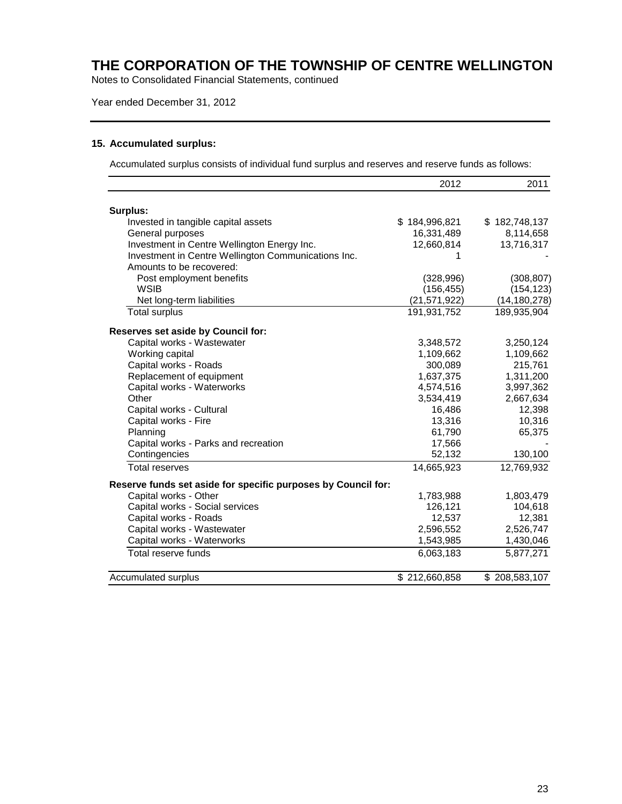Notes to Consolidated Financial Statements, continued

Year ended December 31, 2012

### **15. Accumulated surplus:**

Accumulated surplus consists of individual fund surplus and reserves and reserve funds as follows:

|                                                               | 2012           | 2011           |
|---------------------------------------------------------------|----------------|----------------|
| Surplus:                                                      |                |                |
| Invested in tangible capital assets                           | \$184,996,821  | \$182,748,137  |
| General purposes                                              | 16,331,489     | 8,114,658      |
| Investment in Centre Wellington Energy Inc.                   | 12,660,814     | 13,716,317     |
| Investment in Centre Wellington Communications Inc.           | 1              |                |
| Amounts to be recovered:                                      |                |                |
| Post employment benefits                                      | (328, 996)     | (308, 807)     |
| <b>WSIB</b>                                                   | (156, 455)     | (154, 123)     |
| Net long-term liabilities                                     | (21, 571, 922) | (14, 180, 278) |
| <b>Total surplus</b>                                          | 191,931,752    | 189,935,904    |
| Reserves set aside by Council for:                            |                |                |
| Capital works - Wastewater                                    | 3,348,572      | 3,250,124      |
| Working capital                                               | 1,109,662      | 1,109,662      |
| Capital works - Roads                                         | 300,089        | 215,761        |
| Replacement of equipment                                      | 1,637,375      | 1,311,200      |
| Capital works - Waterworks                                    | 4,574,516      | 3,997,362      |
| Other                                                         | 3,534,419      | 2,667,634      |
| Capital works - Cultural                                      | 16,486         | 12,398         |
| Capital works - Fire                                          | 13,316         | 10,316         |
| Planning                                                      | 61,790         | 65,375         |
| Capital works - Parks and recreation                          | 17,566         |                |
| Contingencies                                                 | 52,132         | 130,100        |
| <b>Total reserves</b>                                         | 14,665,923     | 12,769,932     |
| Reserve funds set aside for specific purposes by Council for: |                |                |
| Capital works - Other                                         | 1,783,988      | 1,803,479      |
| Capital works - Social services                               | 126,121        | 104,618        |
| Capital works - Roads                                         | 12,537         | 12,381         |
| Capital works - Wastewater                                    | 2,596,552      | 2,526,747      |
| Capital works - Waterworks                                    | 1,543,985      | 1,430,046      |
| Total reserve funds                                           | 6,063,183      | 5,877,271      |
| Accumulated surplus                                           | \$212,660,858  | \$208,583,107  |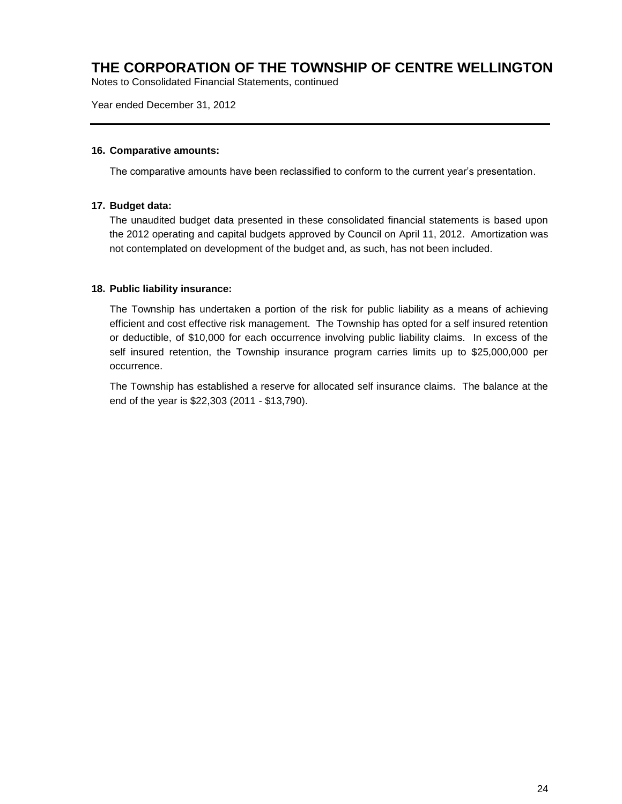Notes to Consolidated Financial Statements, continued

Year ended December 31, 2012

### **16. Comparative amounts:**

The comparative amounts have been reclassified to conform to the current year's presentation.

### **17. Budget data:**

The unaudited budget data presented in these consolidated financial statements is based upon the 2012 operating and capital budgets approved by Council on April 11, 2012. Amortization was not contemplated on development of the budget and, as such, has not been included.

### **18. Public liability insurance:**

The Township has undertaken a portion of the risk for public liability as a means of achieving efficient and cost effective risk management. The Township has opted for a self insured retention or deductible, of \$10,000 for each occurrence involving public liability claims. In excess of the self insured retention, the Township insurance program carries limits up to \$25,000,000 per occurrence.

The Township has established a reserve for allocated self insurance claims. The balance at the end of the year is \$22,303 (2011 - \$13,790).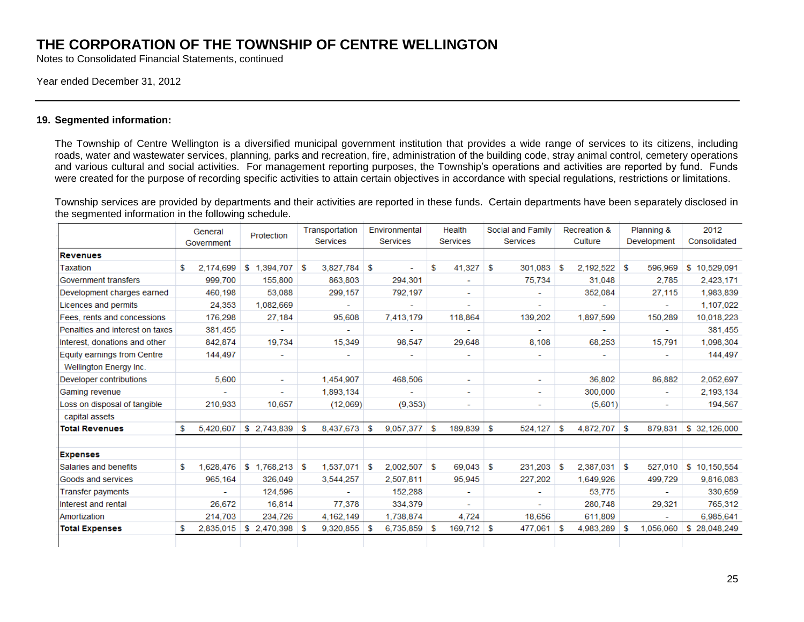Notes to Consolidated Financial Statements, continued

#### Year ended December 31, 2012

### **19. Segmented information:**

The Township of Centre Wellington is a diversified municipal government institution that provides a wide range of services to its citizens, including roads, water and wastewater services, planning, parks and recreation, fire, administration of the building code, stray animal control, cemetery operations and various cultural and social activities. For management reporting purposes, the Township's operations and activities are reported by fund. Funds were created for the purpose of recording specific activities to attain certain objectives in accordance with special regulations, restrictions or limitations.

Township services are provided by departments and their activities are reported in these funds. Certain departments have been separately disclosed in the segmented information in the following schedule. $\sim$  $\sim$ <u>and the state</u>  $\sim 10^{-11}$ 

|                                 | General |            | Protection               | Transportation |                 | Environmental |                 | Health |              | Social and Family |                          | Recreation & |              |    | Planning &  | 2012          |  |
|---------------------------------|---------|------------|--------------------------|----------------|-----------------|---------------|-----------------|--------|--------------|-------------------|--------------------------|--------------|--------------|----|-------------|---------------|--|
|                                 |         | Government |                          |                | <b>Services</b> |               | <b>Services</b> |        | Services     |                   | <b>Services</b>          |              | Culture      |    | Development | Consolidated  |  |
| <b>Revenues</b>                 |         |            |                          |                |                 |               |                 |        |              |                   |                          |              |              |    |             |               |  |
| Taxation                        | S       | 2,174,699  | \$1,394,707              | S              | 3,827,784       | s.            |                 | \$.    | 41,327       | -S                | 301,083                  | S            | 2,192,522    | -S | 596,969     | \$10,529,091  |  |
| Government transfers            |         | 999.700    | 155,800                  |                | 863.803         |               | 294.301         |        |              |                   | 75,734                   |              | 31.048       |    | 2.785       | 2,423,171     |  |
| Development charges earned      |         | 460.198    | 53,088                   |                | 299,157         |               | 792,197         |        |              |                   |                          |              | 352,084      |    | 27,115      | 1,983,839     |  |
| Licences and permits            |         | 24,353     | 1,082,669                |                |                 |               |                 |        | ÷            |                   | ٠                        |              |              |    |             | 1,107,022     |  |
| Fees, rents and concessions     |         | 176,298    | 27,184                   |                | 95,608          |               | 7,413,179       |        | 118,864      |                   | 139,202                  |              | 1.897.599    |    | 150,289     | 10,018,223    |  |
| Penalties and interest on taxes |         | 381,455    | $\overline{\phantom{a}}$ |                |                 |               |                 |        | ۰            |                   |                          |              |              |    | ۰           | 381,455       |  |
| Interest, donations and other   |         | 842,874    | 19,734                   |                | 15,349          |               | 98,547          |        | 29,648       |                   | 8,108                    |              | 68,253       |    | 15,791      | 1,098,304     |  |
| Equity earnings from Centre     |         | 144,497    | ۰                        |                |                 |               |                 |        | ٠            |                   |                          |              | ٠            |    | ٠           | 144,497       |  |
| Wellington Energy Inc.          |         |            |                          |                |                 |               |                 |        |              |                   |                          |              |              |    |             |               |  |
| Developer contributions         |         | 5,600      | $\overline{\phantom{a}}$ |                | 1,454,907       |               | 468,506         |        | Ξ.           |                   | $\overline{\phantom{a}}$ |              | 36,802       |    | 86,882      | 2,052,697     |  |
| Gaming revenue                  |         |            | $\overline{\phantom{0}}$ |                | 1,893,134       |               |                 |        | ٠            |                   | ٠                        |              | 300,000      |    | ٠           | 2,193,134     |  |
| Loss on disposal of tangible    |         | 210,933    | 10,657                   |                | (12,069)        |               | (9, 353)        |        | ٠            |                   | ٠                        |              | (5,601)      |    |             | 194,567       |  |
| capital assets                  |         |            |                          |                |                 |               |                 |        |              |                   |                          |              |              |    |             |               |  |
| <b>Total Revenues</b>           | S       | 5,420,607  | \$ 2,743,839             | -S             | 8,437,673       | s.            | $9,057,377$ \$  |        | $189,839$ \$ |                   | 524,127                  | -S           | 4,872,707 \$ |    | 879,831     | \$ 32,126,000 |  |
| <b>Expenses</b>                 |         |            |                          |                |                 |               |                 |        |              |                   |                          |              |              |    |             |               |  |
| Salaries and benefits           | S       | 1.628.476  | \$1.768.213              | S              | 1.537.071       | S             | 2.002.507       | s.     | 69.043       | - \$              | 231.203                  | \$.          | 2.387.031    | -S | 527.010     | \$10.150.554  |  |
| Goods and services              |         | 965,164    | 326,049                  |                | 3,544,257       |               | 2.507.811       |        | 95,945       |                   | 227,202                  |              | 1,649,926    |    | 499,729     | 9,816,083     |  |
| <b>Transfer payments</b>        |         |            | 124,596                  |                |                 |               | 152,288         |        | ٠            |                   |                          |              | 53,775       |    |             | 330,659       |  |
| Interest and rental             |         | 26.672     | 16,814                   |                | 77.378          |               | 334.379         |        | ٠            |                   |                          |              | 280,748      |    | 29,321      | 765,312       |  |
| Amortization                    |         | 214,703    | 234,726                  |                | 4.162.149       |               | 1.738.874       |        | 4.724        |                   | 18,656                   |              | 611,809      |    |             | 6,985,641     |  |
| <b>Total Expenses</b>           | S       | 2,835,015  | S.<br>2,470,398          | s.             | 9,320,855       | -S            | 6,735,859       | - \$   | $169,712$ \$ |                   | 477,061                  | -S           | 4,983,289    | S  | 1.056.060   | \$ 28,048,249 |  |
|                                 |         |            |                          |                |                 |               |                 |        |              |                   |                          |              |              |    |             |               |  |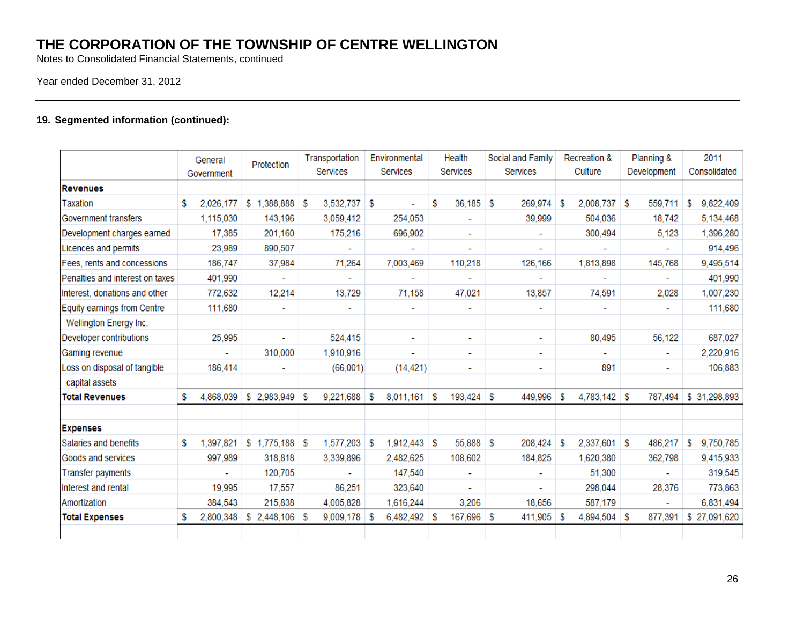Notes to Consolidated Financial Statements, continued

### Year ended December 31, 2012

### **19. Segmented information (continued):**

|                                 | General<br>Government |           | Protection               | Transportation<br><b>Services</b> |                | Environmental<br>Services |                          | Health<br><b>Services</b> |                          | Social and Family<br>Services |                          | Recreation &<br>Culture |                | Planning &<br>Development |                          | 2011<br>Consolidated |               |
|---------------------------------|-----------------------|-----------|--------------------------|-----------------------------------|----------------|---------------------------|--------------------------|---------------------------|--------------------------|-------------------------------|--------------------------|-------------------------|----------------|---------------------------|--------------------------|----------------------|---------------|
| <b>Revenues</b>                 |                       |           |                          |                                   |                |                           |                          |                           |                          |                               |                          |                         |                |                           |                          |                      |               |
| Taxation                        | S                     | 2,026,177 | \$1,388,888              | S                                 | 3,532,737 \$   |                           |                          | \$                        | 36,185                   | S                             | 269,974                  | \$.                     | 2,008,737      | s.                        | 559,711                  | S                    | 9,822,409     |
| Government transfers            |                       | 1,115,030 | 143,196                  |                                   | 3,059,412      |                           | 254,053                  |                           |                          |                               | 39,999                   |                         | 504,036        |                           | 18,742                   |                      | 5,134,468     |
| Development charges earned      |                       | 17,385    | 201,160                  |                                   | 175,216        |                           | 696,902                  |                           |                          |                               |                          |                         | 300,494        |                           | 5,123                    |                      | 1,396,280     |
| Licences and permits            |                       | 23,989    | 890,507                  |                                   |                |                           |                          |                           |                          |                               |                          |                         |                |                           |                          |                      | 914,496       |
| Fees, rents and concessions     |                       | 186,747   | 37,984                   |                                   | 71,264         |                           | 7,003,469                |                           | 110,218                  |                               | 126,166                  |                         | 1,813,898      |                           | 145,768                  |                      | 9,495,514     |
| Penalties and interest on taxes |                       | 401,990   | $\overline{\phantom{a}}$ |                                   | ۰              |                           |                          |                           | $\overline{\phantom{a}}$ |                               |                          |                         |                |                           | ٠                        |                      | 401,990       |
| Interest, donations and other   |                       | 772,632   | 12,214                   |                                   | 13,729         |                           | 71,158                   |                           | 47,021                   |                               | 13,857                   |                         | 74,591         |                           | 2,028                    |                      | 1,007,230     |
| Equity earnings from Centre     |                       | 111,680   | ۰                        |                                   | ۰              |                           | $\overline{\phantom{a}}$ |                           | ۰                        |                               | $\overline{\phantom{a}}$ |                         |                |                           | ٠                        |                      | 111,680       |
| Wellington Energy Inc.          |                       |           |                          |                                   |                |                           |                          |                           |                          |                               |                          |                         |                |                           |                          |                      |               |
| Developer contributions         |                       | 25,995    |                          |                                   | 524,415        |                           | $\blacksquare$           |                           | ٠                        |                               | $\blacksquare$           |                         | 80,495         |                           | 56,122                   |                      | 687,027       |
| Gaming revenue                  |                       |           | 310,000                  |                                   | 1,910,916      |                           |                          |                           |                          |                               | ٠                        |                         |                |                           | ۰                        |                      | 2,220,916     |
| Loss on disposal of tangible    |                       | 186,414   |                          |                                   | (66,001)       |                           | (14, 421)                |                           | ٠                        |                               | $\ddot{\phantom{0}}$     |                         | 891            |                           |                          |                      | 106,883       |
| capital assets                  |                       |           |                          |                                   |                |                           |                          |                           |                          |                               |                          |                         |                |                           |                          |                      |               |
| <b>Total Revenues</b>           | s                     | 4,868,039 | $$2,983,949$ \\$         |                                   | 9,221,688 \$   |                           | 8,011,161                | S                         | 193,424                  | s.                            | 449,996                  | S                       | $4,783,142$ \$ |                           | 787,494                  |                      | \$ 31,298,893 |
| <b>Expenses</b>                 |                       |           |                          |                                   |                |                           |                          |                           |                          |                               |                          |                         |                |                           |                          |                      |               |
| Salaries and benefits           | \$                    | 1,397,821 | $$1,775,188$ \$          |                                   | 1,577,203      | S                         | 1,912,443                | S                         | 55,888                   | S                             | 208,424                  | \$.                     | 2,337,601      | s.                        | 486,217                  | \$                   | 9,750,785     |
| Goods and services              |                       | 997,989   | 318,818                  |                                   | 3,339,896      |                           | 2,482,625                |                           | 108,602                  |                               | 184,825                  |                         | 1,620,380      |                           | 362,798                  |                      | 9,415,933     |
| <b>Transfer payments</b>        |                       |           | 120,705                  |                                   |                |                           | 147,540                  |                           |                          |                               |                          |                         | 51,300         |                           |                          |                      | 319,545       |
| Interest and rental             |                       | 19,995    | 17,557                   |                                   | 86,251         |                           | 323,640                  |                           |                          |                               |                          |                         | 298,044        |                           | 28,376                   |                      | 773,863       |
| Amortization                    |                       | 384,543   | 215,838                  |                                   | 4,005,828      |                           | 1,616,244                |                           | 3,206                    |                               | 18,656                   |                         | 587,179        |                           | $\overline{\phantom{a}}$ |                      | 6,831,494     |
| <b>Total Expenses</b>           | S                     | 2,800,348 | \$<br>$2,448,106$ \$     |                                   | $9,009,178$ \$ |                           | 6,482,492                | -S                        | 167,696                  | \$                            | 411,905                  | \$                      | 4,894,504      | -\$                       | 877,391                  |                      | \$27,091,620  |
|                                 |                       |           |                          |                                   |                |                           |                          |                           |                          |                               |                          |                         |                |                           |                          |                      |               |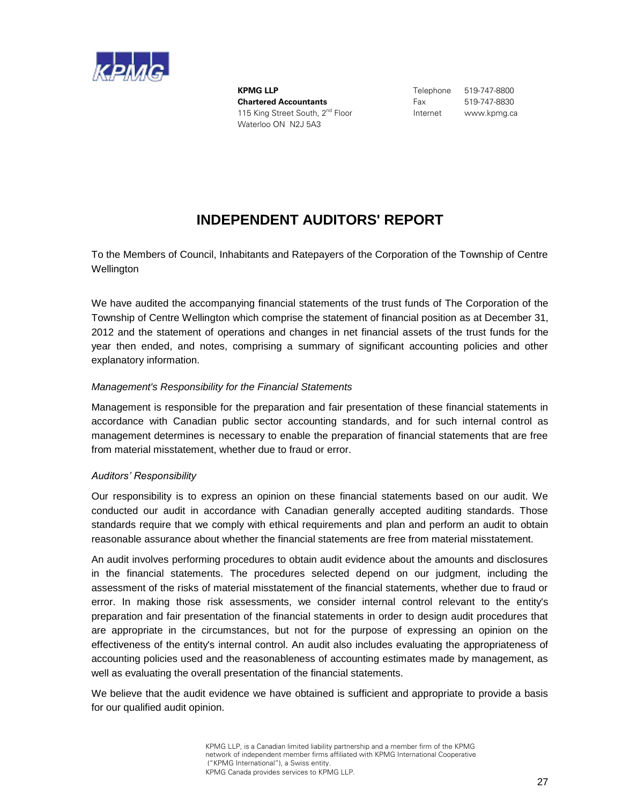

**KPMG LLP** Telephone 519-747-8800 **Chartered Accountants** Fax 519-747-8830 115 King Street South, 2<sup>nd</sup> Floor **Internet** www.kpmg.ca Waterloo ON N2J 5A3

# **INDEPENDENT AUDITORS' REPORT**

To the Members of Council, Inhabitants and Ratepayers of the Corporation of the Township of Centre **Wellington** 

We have audited the accompanying financial statements of the trust funds of The Corporation of the Township of Centre Wellington which comprise the statement of financial position as at December 31, 2012 and the statement of operations and changes in net financial assets of the trust funds for the year then ended, and notes, comprising a summary of significant accounting policies and other explanatory information.

### *Management's Responsibility for the Financial Statements*

Management is responsible for the preparation and fair presentation of these financial statements in accordance with Canadian public sector accounting standards, and for such internal control as management determines is necessary to enable the preparation of financial statements that are free from material misstatement, whether due to fraud or error.

### *Auditors' Responsibility*

Our responsibility is to express an opinion on these financial statements based on our audit. We conducted our audit in accordance with Canadian generally accepted auditing standards. Those standards require that we comply with ethical requirements and plan and perform an audit to obtain reasonable assurance about whether the financial statements are free from material misstatement.

An audit involves performing procedures to obtain audit evidence about the amounts and disclosures in the financial statements. The procedures selected depend on our judgment, including the assessment of the risks of material misstatement of the financial statements, whether due to fraud or error. In making those risk assessments, we consider internal control relevant to the entity's preparation and fair presentation of the financial statements in order to design audit procedures that are appropriate in the circumstances, but not for the purpose of expressing an opinion on the effectiveness of the entity's internal control. An audit also includes evaluating the appropriateness of accounting policies used and the reasonableness of accounting estimates made by management, as well as evaluating the overall presentation of the financial statements.

We believe that the audit evidence we have obtained is sufficient and appropriate to provide a basis for our qualified audit opinion.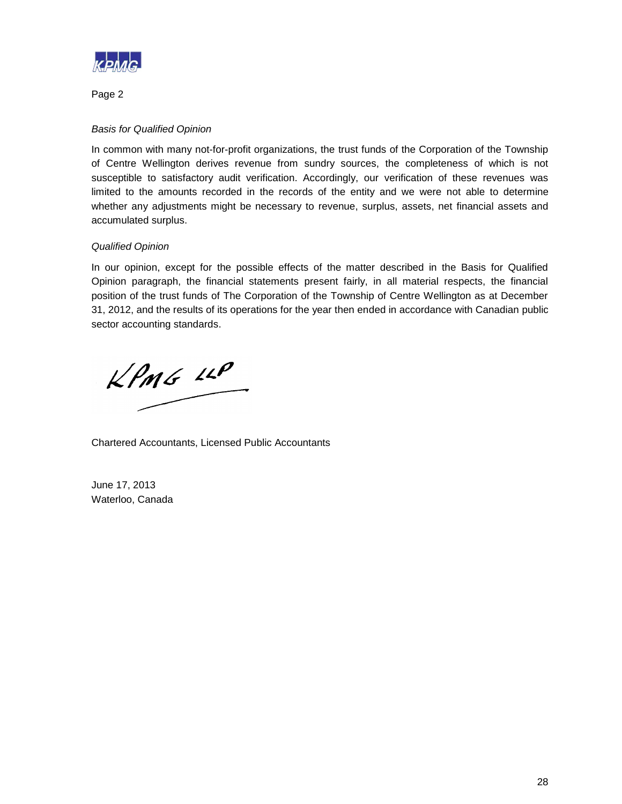

Page 2

### *Basis for Qualified Opinion*

In common with many not-for-profit organizations, the trust funds of the Corporation of the Township of Centre Wellington derives revenue from sundry sources, the completeness of which is not susceptible to satisfactory audit verification. Accordingly, our verification of these revenues was limited to the amounts recorded in the records of the entity and we were not able to determine whether any adjustments might be necessary to revenue, surplus, assets, net financial assets and accumulated surplus.

### *Qualified Opinion*

In our opinion, except for the possible effects of the matter described in the Basis for Qualified Opinion paragraph, the financial statements present fairly, in all material respects, the financial position of the trust funds of The Corporation of the Township of Centre Wellington as at December 31, 2012, and the results of its operations for the year then ended in accordance with Canadian public sector accounting standards.

 $kPMS$  12P

Chartered Accountants, Licensed Public Accountants

June 17, 2013 Waterloo, Canada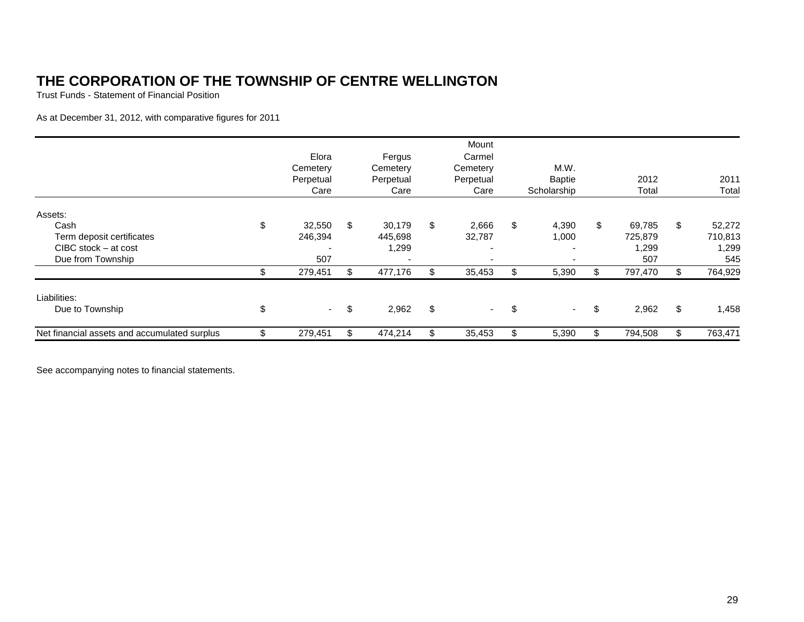Trust Funds - Statement of Financial Position

As at December 31, 2012, with comparative figures for 2011

|                                              | Elora<br>Cemetery<br>Perpetual<br>Care |     | Fergus<br>Cemetery<br>Perpetual<br>Care | Mount<br>Carmel<br>Cemetery<br>Perpetual<br>Care | M.W.<br><b>Baptie</b><br>Scholarship | 2012<br>Total | 2011<br>Total |
|----------------------------------------------|----------------------------------------|-----|-----------------------------------------|--------------------------------------------------|--------------------------------------|---------------|---------------|
| Assets:                                      |                                        |     |                                         |                                                  |                                      |               |               |
| Cash                                         | \$<br>32,550                           | \$  | 30,179                                  | \$<br>2,666                                      | \$<br>4,390                          | \$<br>69,785  | \$<br>52,272  |
| Term deposit certificates                    | 246,394                                |     | 445,698                                 | 32,787                                           | 1,000                                | 725,879       | 710,813       |
| CIBC stock – at cost                         |                                        |     | 1,299                                   | $\overline{\phantom{a}}$                         |                                      | 1,299         | 1,299         |
| Due from Township                            | 507                                    |     |                                         | $\overline{\phantom{a}}$                         |                                      | 507           | 545           |
|                                              | 279,451                                | \$. | 477,176                                 | 35,453                                           | 5,390                                | \$<br>797,470 | \$<br>764,929 |
| Liabilities:                                 |                                        |     |                                         |                                                  |                                      |               |               |
| Due to Township                              | \$<br>$\sim$                           | \$  | 2,962                                   | \$<br>$\sim 10^{-11}$                            | \$<br>$\sim$                         | \$<br>2,962   | \$<br>1,458   |
| Net financial assets and accumulated surplus | 279,451                                | \$  | 474,214                                 | \$<br>35,453                                     | 5,390                                | \$<br>794,508 | \$<br>763,471 |

See accompanying notes to financial statements.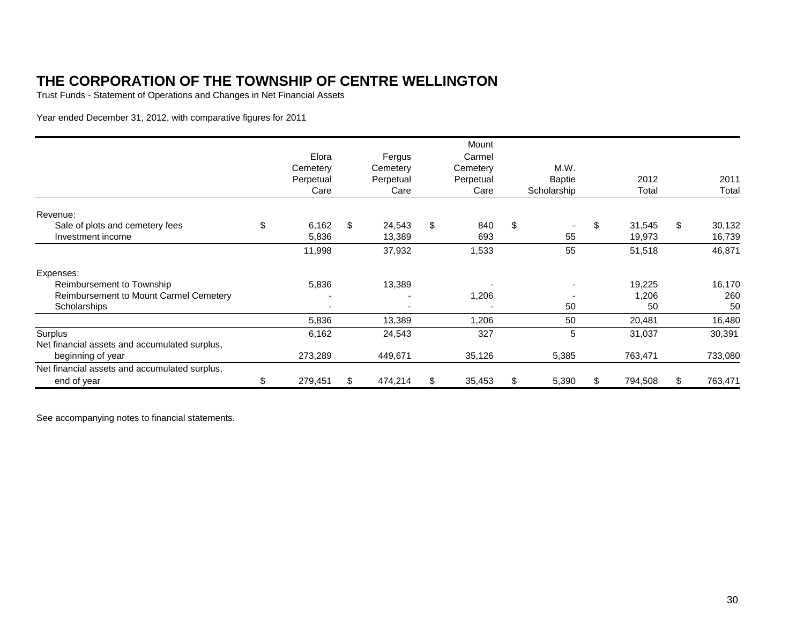Trust Funds - Statement of Operations and Changes in Net Financial Assets

Year ended December 31, 2012, with comparative figures for 2011

|                                               | Elora         |    | Fergus    | Mount<br>Carmel |               |               |               |
|-----------------------------------------------|---------------|----|-----------|-----------------|---------------|---------------|---------------|
|                                               | Cemetery      |    | Cemetery  | Cemetery        | M.W.          |               |               |
|                                               | Perpetual     |    | Perpetual | Perpetual       | <b>Baptie</b> | 2012          | 2011          |
|                                               | Care          |    | Care      | Care            | Scholarship   | Total         | Total         |
| Revenue:                                      |               |    |           |                 |               |               |               |
| Sale of plots and cemetery fees               | \$<br>6,162   | \$ | 24,543    | \$<br>840       | \$            | \$<br>31,545  | \$<br>30,132  |
| Investment income                             | 5,836         |    | 13,389    | 693             | 55            | 19,973        | 16,739        |
|                                               | 11,998        |    | 37,932    | 1,533           | 55            | 51,518        | 46,871        |
| Expenses:                                     |               |    |           |                 |               |               |               |
| Reimbursement to Township                     | 5,836         |    | 13,389    |                 |               | 19,225        | 16,170        |
| Reimbursement to Mount Carmel Cemetery        |               |    |           | 1,206           |               | 1,206         | 260           |
| Scholarships                                  |               |    |           |                 | 50            | 50            | 50            |
|                                               | 5,836         |    | 13,389    | 1,206           | 50            | 20,481        | 16,480        |
| Surplus                                       | 6,162         |    | 24,543    | 327             | 5             | 31,037        | 30,391        |
| Net financial assets and accumulated surplus, |               |    |           |                 |               |               |               |
| beginning of year                             | 273,289       |    | 449,671   | 35,126          | 5,385         | 763,471       | 733,080       |
| Net financial assets and accumulated surplus, |               |    |           |                 |               |               |               |
| end of year                                   | \$<br>279,451 | S  | 474,214   | \$<br>35,453    | \$<br>5,390   | \$<br>794,508 | \$<br>763,471 |

See accompanying notes to financial statements.